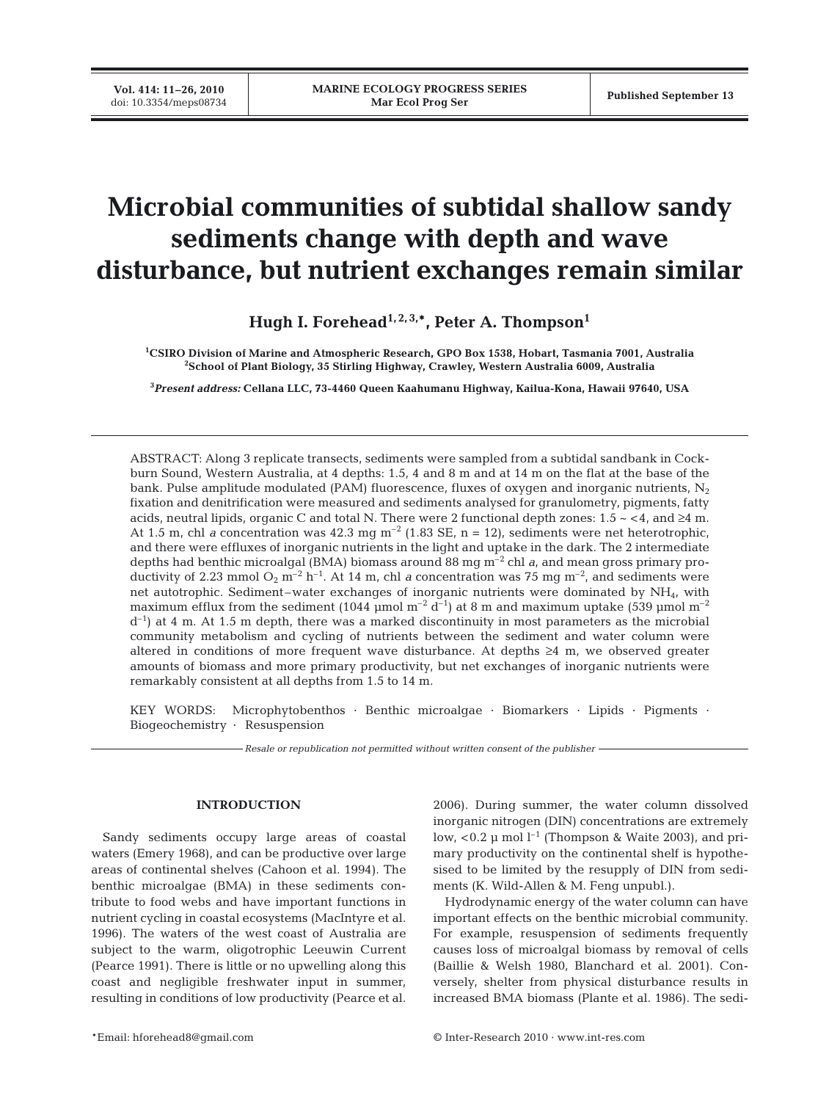**Vol. 414: 11–26, 2010**

# **Microbial communities of subtidal shallow sandy sediments change with depth and wave disturbance, but nutrient exchanges remain similar**

Hugh I. Forehead<sup>1, 2, 3,\*</sup>, Peter A. Thompson<sup>1</sup>

**1 CSIRO Division of Marine and Atmospheric Research, GPO Box 1538, Hobart, Tasmania 7001, Australia 2 School of Plant Biology, 35 Stirling Highway, Crawley, Western Australia 6009, Australia**

**3** *Present address:* **Cellana LLC, 73-4460 Queen Kaahumanu Highway, Kailua-Kona, Hawaii 97640, USA**

ABSTRACT: Along 3 replicate transects, sediments were sampled from a subtidal sandbank in Cockburn Sound, Western Australia, at 4 depths: 1.5, 4 and 8 m and at 14 m on the flat at the base of the bank. Pulse amplitude modulated (PAM) fluorescence, fluxes of oxygen and inorganic nutrients,  $N_2$ fixation and denitrification were measured and sediments analysed for granulometry, pigments, fatty acids, neutral lipids, organic C and total N. There were 2 functional depth zones:  $1.5 \sim 4$ , and  $\geq 4$  m. At 1.5 m, chl *a* concentration was 42.3 mg  $m^{-2}$  (1.83 SE, n = 12), sediments were net heterotrophic, and there were effluxes of inorganic nutrients in the light and uptake in the dark. The 2 intermediate depths had benthic microalgal (BMA) biomass around 88 mg m–2 chl *a*, and mean gross primary productivity of 2.23 mmol  $O_2$  m<sup>-2</sup> h<sup>-1</sup>. At 14 m, chl *a* concentration was 75 mg m<sup>-2</sup>, and sediments were net autotrophic. Sediment–water exchanges of inorganic nutrients were dominated by NH4, with maximum efflux from the sediment (1044 μmol  $m^{-2}$  d<sup>-1</sup>) at 8 m and maximum uptake (539 μmol  $m^{-2}$  $d^{-1}$  at 4 m. At 1.5 m depth, there was a marked discontinuity in most parameters as the microbial community metabolism and cycling of nutrients between the sediment and water column were altered in conditions of more frequent wave disturbance. At depths ≥4 m, we observed greater amounts of biomass and more primary productivity, but net exchanges of inorganic nutrients were remarkably consistent at all depths from 1.5 to 14 m.

KEY WORDS: Microphytobenthos · Benthic microalgae · Biomarkers · Lipids · Pigments · Biogeochemistry · Resuspension

*Resale or republication not permitted without written consent of the publisher*

#### **INTRODUCTION**

Sandy sediments occupy large areas of coastal waters (Emery 1968), and can be productive over large areas of continental shelves (Cahoon et al. 1994). The benthic microalgae (BMA) in these sediments contribute to food webs and have important functions in nutrient cycling in coastal ecosystems (MacIntyre et al. 1996). The waters of the west coast of Australia are subject to the warm, oligotrophic Leeuwin Current (Pearce 1991). There is little or no upwelling along this coast and negligible freshwater input in summer, resulting in conditions of low productivity (Pearce et al.

2006). During summer, the water column dissolved inorganic nitrogen (DIN) concentrations are extremely low,  $< 0.2 \mu$  mol l<sup>-1</sup> (Thompson & Waite 2003), and primary productivity on the continental shelf is hypothesised to be limited by the resupply of DIN from sediments (K. Wild-Allen & M. Feng unpubl.).

Hydrodynamic energy of the water column can have important effects on the benthic microbial community. For example, resuspension of sediments frequently causes loss of microalgal biomass by removal of cells (Baillie & Welsh 1980, Blanchard et al. 2001). Conversely, shelter from physical disturbance results in increased BMA biomass (Plante et al. 1986). The sedi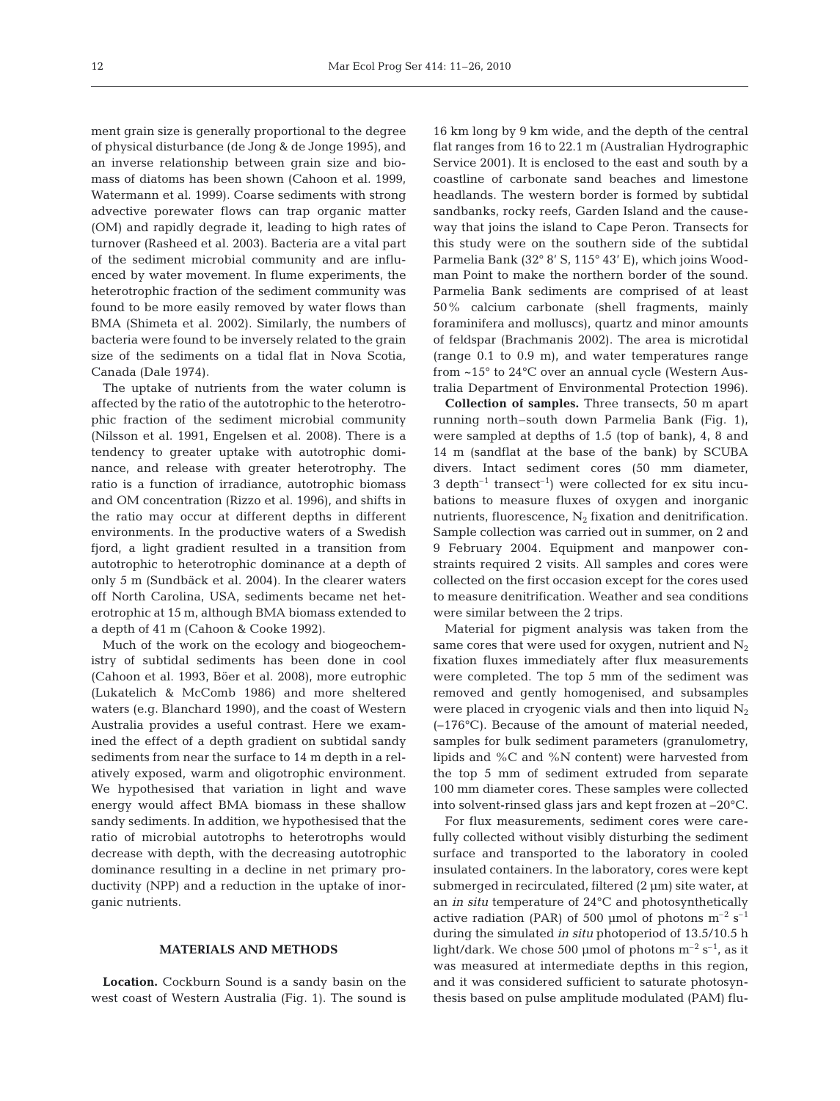ment grain size is generally proportional to the degree of physical disturbance (de Jong & de Jonge 1995), and an inverse relationship between grain size and biomass of diatoms has been shown (Cahoon et al. 1999, Watermann et al. 1999). Coarse sediments with strong advective porewater flows can trap organic matter (OM) and rapidly degrade it, leading to high rates of turnover (Rasheed et al. 2003). Bacteria are a vital part of the sediment microbial community and are influenced by water movement. In flume experiments, the heterotrophic fraction of the sediment community was found to be more easily removed by water flows than BMA (Shimeta et al. 2002). Similarly, the numbers of bacteria were found to be inversely related to the grain size of the sediments on a tidal flat in Nova Scotia, Canada (Dale 1974).

The uptake of nutrients from the water column is affected by the ratio of the autotrophic to the heterotrophic fraction of the sediment microbial community (Nilsson et al. 1991, Engelsen et al. 2008). There is a tendency to greater uptake with autotrophic dominance, and release with greater heterotrophy. The ratio is a function of irradiance, autotrophic biomass and OM concentration (Rizzo et al. 1996), and shifts in the ratio may occur at different depths in different environments. In the productive waters of a Swedish fjord, a light gradient resulted in a transition from autotrophic to heterotrophic dominance at a depth of only 5 m (Sundbäck et al. 2004). In the clearer waters off North Carolina, USA, sediments became net heterotrophic at 15 m, although BMA biomass extended to a depth of 41 m (Cahoon & Cooke 1992).

Much of the work on the ecology and biogeochemistry of subtidal sediments has been done in cool (Cahoon et al. 1993, Böer et al. 2008), more eutrophic (Lukatelich & McComb 1986) and more sheltered waters (e.g. Blanchard 1990), and the coast of Western Australia provides a useful contrast. Here we examined the effect of a depth gradient on subtidal sandy sediments from near the surface to 14 m depth in a relatively exposed, warm and oligotrophic environment. We hypothesised that variation in light and wave energy would affect BMA biomass in these shallow sandy sediments. In addition, we hypothesised that the ratio of microbial autotrophs to heterotrophs would decrease with depth, with the decreasing autotrophic dominance resulting in a decline in net primary productivity (NPP) and a reduction in the uptake of inorganic nutrients.

## **MATERIALS AND METHODS**

**Location.** Cockburn Sound is a sandy basin on the west coast of Western Australia (Fig. 1). The sound is 16 km long by 9 km wide, and the depth of the central flat ranges from 16 to 22.1 m (Australian Hydrographic Service 2001). It is enclosed to the east and south by a coastline of carbonate sand beaches and limestone headlands. The western border is formed by subtidal sandbanks, rocky reefs, Garden Island and the causeway that joins the island to Cape Peron. Transects for this study were on the southern side of the subtidal Parmelia Bank (32° 8' S, 115° 43' E), which joins Woodman Point to make the northern border of the sound. Parmelia Bank sediments are comprised of at least 50% calcium carbonate (shell fragments, mainly foraminifera and molluscs), quartz and minor amounts of feldspar (Brachmanis 2002). The area is microtidal (range 0.1 to 0.9 m), and water temperatures range from ~15° to 24°C over an annual cycle (Western Australia Department of Environmental Protection 1996).

**Collection of samples.** Three transects, 50 m apart running north–south down Parmelia Bank (Fig. 1), were sampled at depths of 1.5 (top of bank), 4, 8 and 14 m (sandflat at the base of the bank) by SCUBA divers. Intact sediment cores (50 mm diameter, 3 depth<sup>-1</sup> transect<sup>-1</sup>) were collected for ex situ incubations to measure fluxes of oxygen and inorganic nutrients, fluorescence,  $N_2$  fixation and denitrification. Sample collection was carried out in summer, on 2 and 9 February 2004. Equipment and manpower constraints required 2 visits. All samples and cores were collected on the first occasion except for the cores used to measure denitrification. Weather and sea conditions were similar between the 2 trips.

Material for pigment analysis was taken from the same cores that were used for oxygen, nutrient and  $N_2$ fixation fluxes immediately after flux measurements were completed. The top 5 mm of the sediment was removed and gently homogenised, and subsamples were placed in cryogenic vials and then into liquid  $N_2$ (–176°C). Because of the amount of material needed, samples for bulk sediment parameters (granulometry, lipids and %C and %N content) were harvested from the top 5 mm of sediment extruded from separate 100 mm diameter cores. These samples were collected into solvent-rinsed glass jars and kept frozen at –20°C.

For flux measurements, sediment cores were carefully collected without visibly disturbing the sediment surface and transported to the laboratory in cooled insulated containers. In the laboratory, cores were kept submerged in recirculated, filtered (2 μm) site water, at an *in situ* temperature of 24°C and photosynthetically active radiation (PAR) of 500 µmol of photons  $m^{-2}$  s<sup>-1</sup> during the simulated *in situ* photoperiod of 13.5/10.5 h light/dark. We chose 500 µmol of photons  $m^{-2} s^{-1}$ , as it was measured at intermediate depths in this region, and it was considered sufficient to saturate photosynthesis based on pulse amplitude modulated (PAM) flu-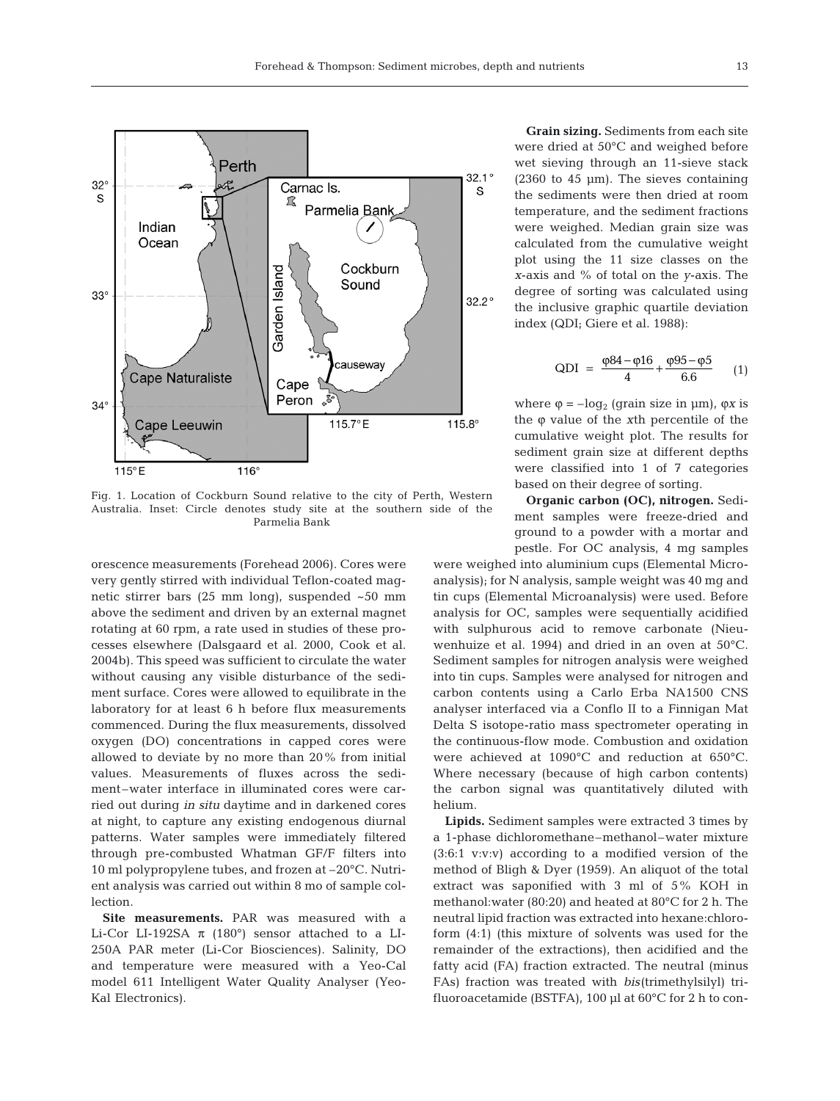

Fig. 1. Location of Cockburn Sound relative to the city of Perth, Western Australia. Inset: Circle denotes study site at the southern side of the Parmelia Bank

orescence measurements (Forehead 2006). Cores were very gently stirred with individual Teflon-coated magnetic stirrer bars (25 mm long), suspended ~50 mm above the sediment and driven by an external magnet rotating at 60 rpm, a rate used in studies of these processes elsewhere (Dalsgaard et al. 2000, Cook et al. 2004b). This speed was sufficient to circulate the water without causing any visible disturbance of the sediment surface. Cores were allowed to equilibrate in the laboratory for at least 6 h before flux measurements commenced. During the flux measurements, dissolved oxygen (DO) concentrations in capped cores were allowed to deviate by no more than 20% from initial values. Measurements of fluxes across the sediment–water interface in illuminated cores were carried out during *in situ* daytime and in darkened cores at night, to capture any existing endogenous diurnal patterns. Water samples were immediately filtered through pre-combusted Whatman GF/F filters into 10 ml polypropylene tubes, and frozen at –20°C. Nutrient analysis was carried out within 8 mo of sample collection.

**Site measurements.** PAR was measured with a Li-Cor LI-192SA  $\pi$  (180°) sensor attached to a LI-250A PAR meter (Li-Cor Biosciences). Salinity, DO and temperature were measured with a Yeo-Cal model 611 Intelligent Water Quality Analyser (Yeo-Kal Electronics).

**Grain sizing.** Sediments from each site were dried at 50°C and weighed before wet sieving through an 11-sieve stack (2360 to 45 μm). The sieves containing the sediments were then dried at room temperature, and the sediment fractions were weighed. Median grain size was calculated from the cumulative weight plot using the 11 size classes on the *x*-axis and % of total on the *y*-axis. The degree of sorting was calculated using the inclusive graphic quartile deviation index (QDI; Giere et al. 1988):

QDI = 
$$
\frac{\varphi 84 - \varphi 16}{4} + \frac{\varphi 95 - \varphi 5}{6.6}
$$
 (1)

where  $\varphi = -\log_2$  (grain size in  $\mu$ m),  $\varphi$ *x* is the ϕ value of the *x*th percentile of the cumulative weight plot. The results for sediment grain size at different depths were classified into 1 of 7 categories based on their degree of sorting.

**Organic carbon (OC), nitrogen.** Sediment samples were freeze-dried and ground to a powder with a mortar and pestle. For OC analysis, 4 mg samples

were weighed into aluminium cups (Elemental Microanalysis); for N analysis, sample weight was 40 mg and tin cups (Elemental Microanalysis) were used. Before analysis for OC, samples were sequentially acidified with sulphurous acid to remove carbonate (Nieuwenhuize et al. 1994) and dried in an oven at 50°C. Sediment samples for nitrogen analysis were weighed into tin cups. Samples were analysed for nitrogen and carbon contents using a Carlo Erba NA1500 CNS analyser interfaced via a Conflo II to a Finnigan Mat Delta S isotope-ratio mass spectrometer operating in the continuous-flow mode. Combustion and oxidation were achieved at 1090°C and reduction at 650°C. Where necessary (because of high carbon contents) the carbon signal was quantitatively diluted with helium.

**Lipids.** Sediment samples were extracted 3 times by a 1-phase dichloromethane–methanol–water mixture (3:6:1 v:v:v) according to a modified version of the method of Bligh & Dyer (1959). An aliquot of the total extract was saponified with 3 ml of 5% KOH in methanol:water (80:20) and heated at 80°C for 2 h. The neutral lipid fraction was extracted into hexane:chloroform (4:1) (this mixture of solvents was used for the remainder of the extractions), then acidified and the fatty acid (FA) fraction extracted. The neutral (minus FAs) fraction was treated with *bis*(trimethylsilyl) trifluoroacetamide (BSTFA), 100 μl at 60°C for 2 h to con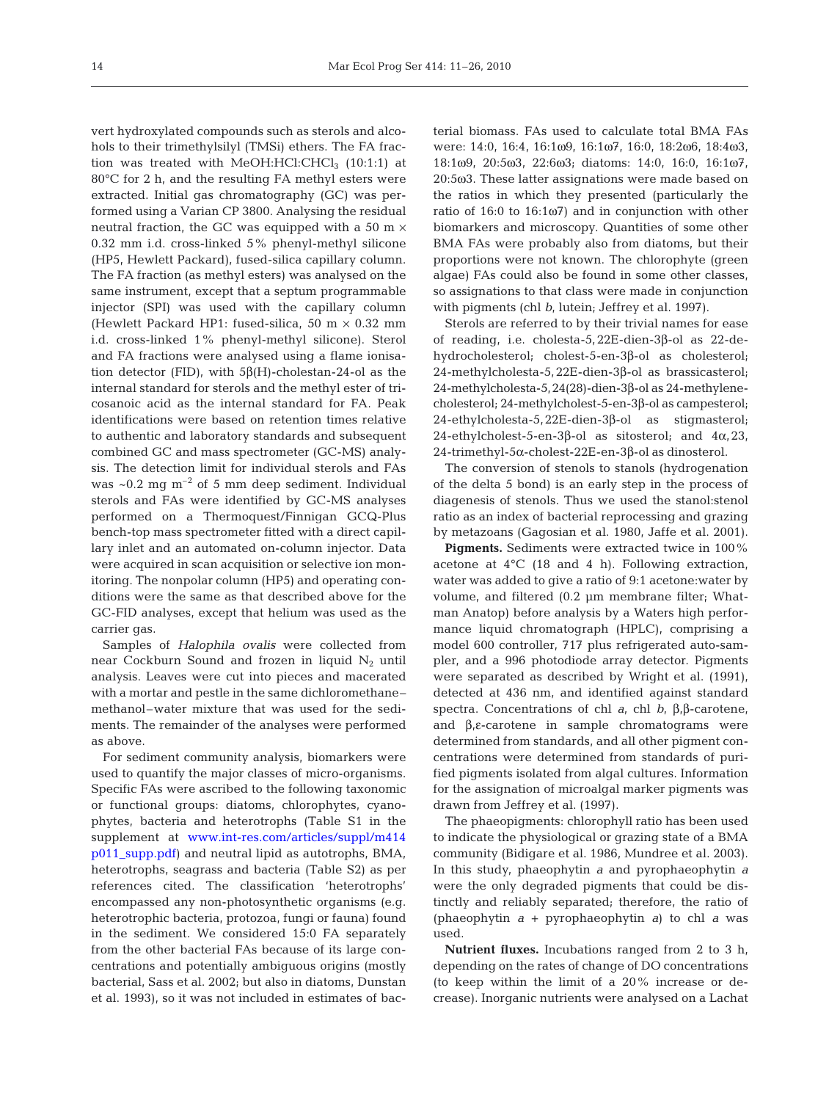vert hydroxylated compounds such as sterols and alcohols to their trimethylsilyl (TMSi) ethers. The FA fraction was treated with MeOH:HCl:CHCl<sub>3</sub>  $(10:1:1)$  at 80°C for 2 h, and the resulting FA methyl esters were extracted. Initial gas chromatography (GC) was performed using a Varian CP 3800. Analysing the residual neutral fraction, the GC was equipped with a 50 m  $\times$ 0.32 mm i.d. cross-linked 5% phenyl-methyl silicone (HP5, Hewlett Packard), fused-silica capillary column. The FA fraction (as methyl esters) was analysed on the same instrument, except that a septum programmable injector (SPI) was used with the capillary column (Hewlett Packard HP1: fused-silica, 50 m  $\times$  0.32 mm i.d. cross-linked 1% phenyl-methyl silicone). Sterol and FA fractions were analysed using a flame ionisation detector (FID), with  $5β$ (H)-cholestan-24-ol as the internal standard for sterols and the methyl ester of tricosanoic acid as the internal standard for FA. Peak identifications were based on retention times relative to authentic and laboratory standards and subsequent combined GC and mass spectrometer (GC-MS) analysis. The detection limit for individual sterols and FAs was  $\sim 0.2$  mg m<sup>-2</sup> of 5 mm deep sediment. Individual sterols and FAs were identified by GC-MS analyses performed on a Thermoquest/Finnigan GCQ-Plus bench-top mass spectrometer fitted with a direct capillary inlet and an automated on-column injector. Data were acquired in scan acquisition or selective ion monitoring. The nonpolar column (HP5) and operating conditions were the same as that described above for the GC-FID analyses, except that helium was used as the carrier gas.

Samples of *Halophila ovalis* were collected from near Cockburn Sound and frozen in liquid  $N_2$  until analysis. Leaves were cut into pieces and macerated with a mortar and pestle in the same dichloromethane– methanol–water mixture that was used for the sediments. The remainder of the analyses were performed as above.

For sediment community analysis, biomarkers were used to quantify the major classes of micro-organisms. Specific FAs were ascribed to the following taxonomic or functional groups: diatoms, chlorophytes, cyanophytes, bacteria and heterotrophs (Table S1 in the supplement at [www.int-res.com/articles/suppl/m414](http://www.int-res.com/articles/suppl/m414p011_supp.pdf) [p011\\_supp.pdf\)](http://www.int-res.com/articles/suppl/m414p011_supp.pdf) and neutral lipid as autotrophs, BMA, heterotrophs, seagrass and bacteria (Table S2) as per references cited. The classification 'heterotrophs' encompassed any non-photosynthetic organisms (e.g. heterotrophic bacteria, protozoa, fungi or fauna) found in the sediment. We considered 15:0 FA separately from the other bacterial FAs because of its large concentrations and potentially ambiguous origins (mostly bacterial, Sass et al. 2002; but also in diatoms, Dunstan et al. 1993), so it was not included in estimates of bacterial biomass. FAs used to calculate total BMA FAs were: 14:0, 16:4, 16:1ω9, 16:1ω7, 16:0, 18:2ω6, 18:4ω3, 18:1ω9, 20:5ω3, 22:6ω3; diatoms: 14:0, 16:0, 16:1ω7, 20:5ω3. These latter assignations were made based on the ratios in which they presented (particularly the ratio of 16:0 to 16:1ω7) and in conjunction with other biomarkers and microscopy. Quantities of some other BMA FAs were probably also from diatoms, but their proportions were not known. The chlorophyte (green algae) FAs could also be found in some other classes, so assignations to that class were made in conjunction with pigments (chl *b*, lutein; Jeffrey et al. 1997).

Sterols are referred to by their trivial names for ease of reading, i.e. cholesta-5,22E-dien-3β-ol as 22-dehydrocholesterol; cholest-5-en-3β-ol as cholesterol; 24-methylcholesta-5,22E-dien-3β-ol as brassicasterol; 24-methylcholesta-5,24(28)-dien-3β-ol as 24-methylenecholesterol; 24-methylcholest-5-en-3β-ol as campesterol; 24-ethylcholesta-5,22E-dien-3β-ol as stigmasterol; 24-ethylcholest-5-en-3β-ol as sitosterol; and  $4\alpha$ , 23, 24-trimethyl-5α-cholest-22E-en-3β-ol as dinosterol.

The conversion of stenols to stanols (hydrogenation of the delta 5 bond) is an early step in the process of diagenesis of stenols. Thus we used the stanol:stenol ratio as an index of bacterial reprocessing and grazing by metazoans (Gagosian et al. 1980, Jaffe et al. 2001).

**Pigments.** Sediments were extracted twice in 100% acetone at 4°C (18 and 4 h). Following extraction, water was added to give a ratio of 9:1 acetone:water by volume, and filtered (0.2 μm membrane filter; Whatman Anatop) before analysis by a Waters high performance liquid chromatograph (HPLC), comprising a model 600 controller, 717 plus refrigerated auto-sampler, and a 996 photodiode array detector. Pigments were separated as described by Wright et al. (1991), detected at 436 nm, and identified against standard spectra. Concentrations of chl *a*, chl *b*, β,β-carotene, and β,ε-carotene in sample chromatograms were determined from standards, and all other pigment concentrations were determined from standards of purified pigments isolated from algal cultures. Information for the assignation of microalgal marker pigments was drawn from Jeffrey et al. (1997).

The phaeopigments: chlorophyll ratio has been used to indicate the physiological or grazing state of a BMA community (Bidigare et al. 1986, Mundree et al. 2003). In this study, phaeophytin *a* and pyrophaeophytin *a* were the only degraded pigments that could be distinctly and reliably separated; therefore, the ratio of (phaeophytin *a* + pyrophaeophytin *a*) to chl *a* was used.

**Nutrient fluxes.** Incubations ranged from 2 to 3 h, depending on the rates of change of DO concentrations (to keep within the limit of a 20% increase or decrease). Inorganic nutrients were analysed on a Lachat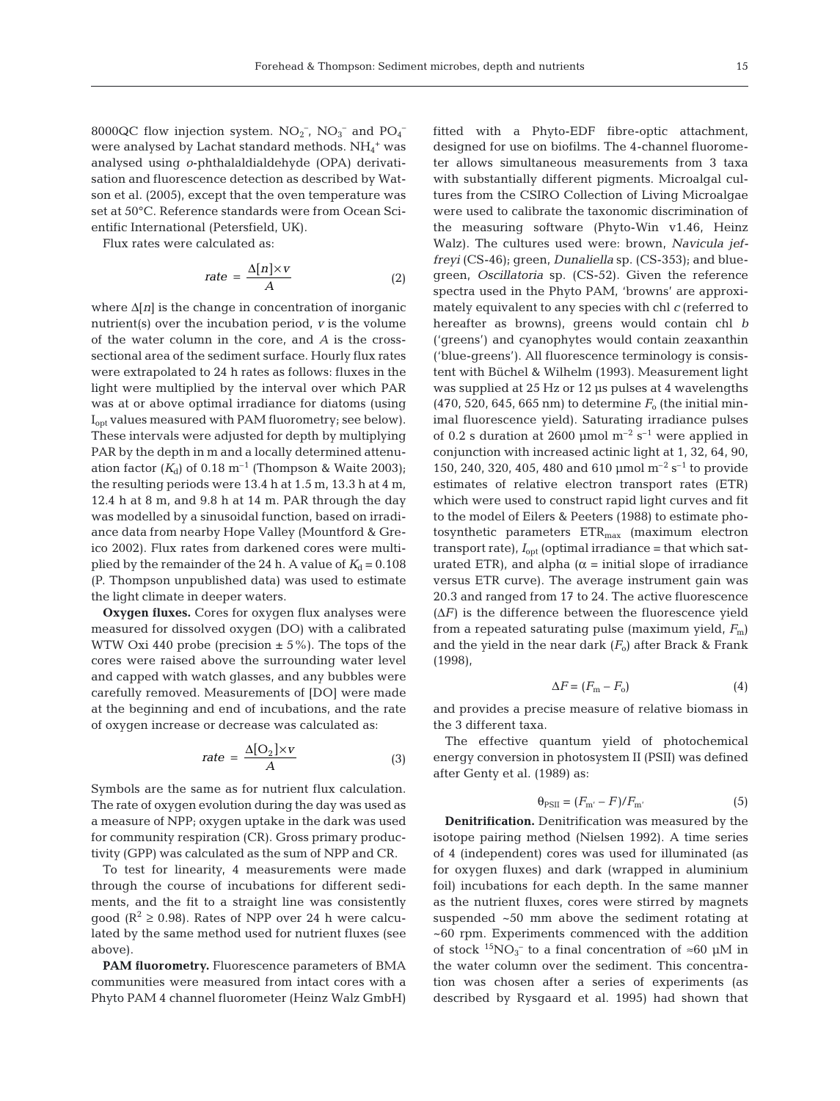8000QC flow injection system.  $NO_2^-$ ,  $NO_3^-$  and  $PO_4^$ were analysed by Lachat standard methods.  $NH_4^+$  was analysed using *o*-phthalaldialdehyde (OPA) derivatisation and fluorescence detection as described by Watson et al. (2005), except that the oven temperature was set at 50°C. Reference standards were from Ocean Scientific International (Petersfield, UK).

Flux rates were calculated as:

$$
rate = \frac{\Delta[n] \times v}{A} \tag{2}
$$

where Δ[*n*] is the change in concentration of inorganic nutrient(s) over the incubation period, *v* is the volume of the water column in the core, and *A* is the crosssectional area of the sediment surface. Hourly flux rates were extrapolated to 24 h rates as follows: fluxes in the light were multiplied by the interval over which PAR was at or above optimal irradiance for diatoms (using I<sub>opt</sub> values measured with PAM fluorometry; see below). These intervals were adjusted for depth by multiplying PAR by the depth in m and a locally determined attenuation factor  $(K_d)$  of 0.18 m<sup>-1</sup> (Thompson & Waite 2003); the resulting periods were 13.4 h at 1.5 m, 13.3 h at 4 m, 12.4 h at 8 m, and 9.8 h at 14 m. PAR through the day was modelled by a sinusoidal function, based on irradiance data from nearby Hope Valley (Mountford & Greico 2002). Flux rates from darkened cores were multiplied by the remainder of the 24 h. A value of  $K_d = 0.108$ (P. Thompson unpublished data) was used to estimate the light climate in deeper waters.

**Oxygen fluxes.** Cores for oxygen flux analyses were measured for dissolved oxygen (DO) with a calibrated WTW Oxi 440 probe (precision  $\pm$  5%). The tops of the cores were raised above the surrounding water level and capped with watch glasses, and any bubbles were carefully removed. Measurements of [DO] were made at the beginning and end of incubations, and the rate of oxygen increase or decrease was calculated as:

$$
rate = \frac{\Delta[O_2] \times v}{A} \tag{3}
$$

Symbols are the same as for nutrient flux calculation. The rate of oxygen evolution during the day was used as a measure of NPP; oxygen uptake in the dark was used for community respiration (CR). Gross primary productivity (GPP) was calculated as the sum of NPP and CR.

To test for linearity, 4 measurements were made through the course of incubations for different sediments, and the fit to a straight line was consistently good ( $\mathbb{R}^2 \ge 0.98$ ). Rates of NPP over 24 h were calculated by the same method used for nutrient fluxes (see above).

**PAM fluorometry.** Fluorescence parameters of BMA communities were measured from intact cores with a Phyto PAM 4 channel fluorometer (Heinz Walz GmbH) fitted with a Phyto-EDF fibre-optic attachment, designed for use on biofilms. The 4-channel fluorometer allows simultaneous measurements from 3 taxa with substantially different pigments. Microalgal cultures from the CSIRO Collection of Living Microalgae were used to calibrate the taxonomic discrimination of the measuring software (Phyto-Win v1.46, Heinz Walz). The cultures used were: brown, *Navicula jeffreyi* (CS-46); green, *Dunaliella* sp. (CS-353); and bluegreen, *Oscillatoria* sp. (CS-52). Given the reference spectra used in the Phyto PAM, 'browns' are approximately equivalent to any species with chl *c* (referred to hereafter as browns), greens would contain chl *b* ('greens') and cyanophytes would contain zeaxanthin ('blue-greens'). All fluorescence terminology is consistent with Büchel & Wilhelm (1993). Measurement light was supplied at 25 Hz or 12 μs pulses at 4 wavelengths (470, 520, 645, 665 nm) to determine  $F_0$  (the initial minimal fluorescence yield). Saturating irradiance pulses of 0.2 s duration at 2600 µmol  $m^{-2}$  s<sup>-1</sup> were applied in conjunction with increased actinic light at 1, 32, 64, 90, 150, 240, 320, 405, 480 and 610 μmol m–2 s–1 to provide estimates of relative electron transport rates (ETR) which were used to construct rapid light curves and fit to the model of Eilers & Peeters (1988) to estimate photosynthetic parameters  $ETR<sub>max</sub>$  (maximum electron transport rate),  $I_{opt}$  (optimal irradiance = that which saturated ETR), and alpha ( $\alpha$  = initial slope of irradiance versus ETR curve). The average instrument gain was 20.3 and ranged from 17 to 24. The active fluorescence  $(\Delta F)$  is the difference between the fluorescence yield from a repeated saturating pulse (maximum yield,  $F<sub>m</sub>$ ) and the yield in the near dark  $(F_0)$  after Brack & Frank (1998),

$$
\Delta F = (F_{\rm m} - F_{\rm o}) \tag{4}
$$

and provides a precise measure of relative biomass in the 3 different taxa.

The effective quantum yield of photochemical energy conversion in photosystem II (PSII) was defined after Genty et al. (1989) as:

$$
\Theta_{\rm PSII} = (F_{\rm m'} - F)/F_{\rm m'} \tag{5}
$$

**Denitrification.** Denitrification was measured by the isotope pairing method (Nielsen 1992). A time series of 4 (independent) cores was used for illuminated (as for oxygen fluxes) and dark (wrapped in aluminium foil) incubations for each depth. In the same manner as the nutrient fluxes, cores were stirred by magnets suspended ~50 mm above the sediment rotating at ~60 rpm. Experiments commenced with the addition of stock  ${}^{15}NO_3^-$  to a final concentration of ≈60 µM in the water column over the sediment. This concentration was chosen after a series of experiments (as described by Rysgaard et al. 1995) had shown that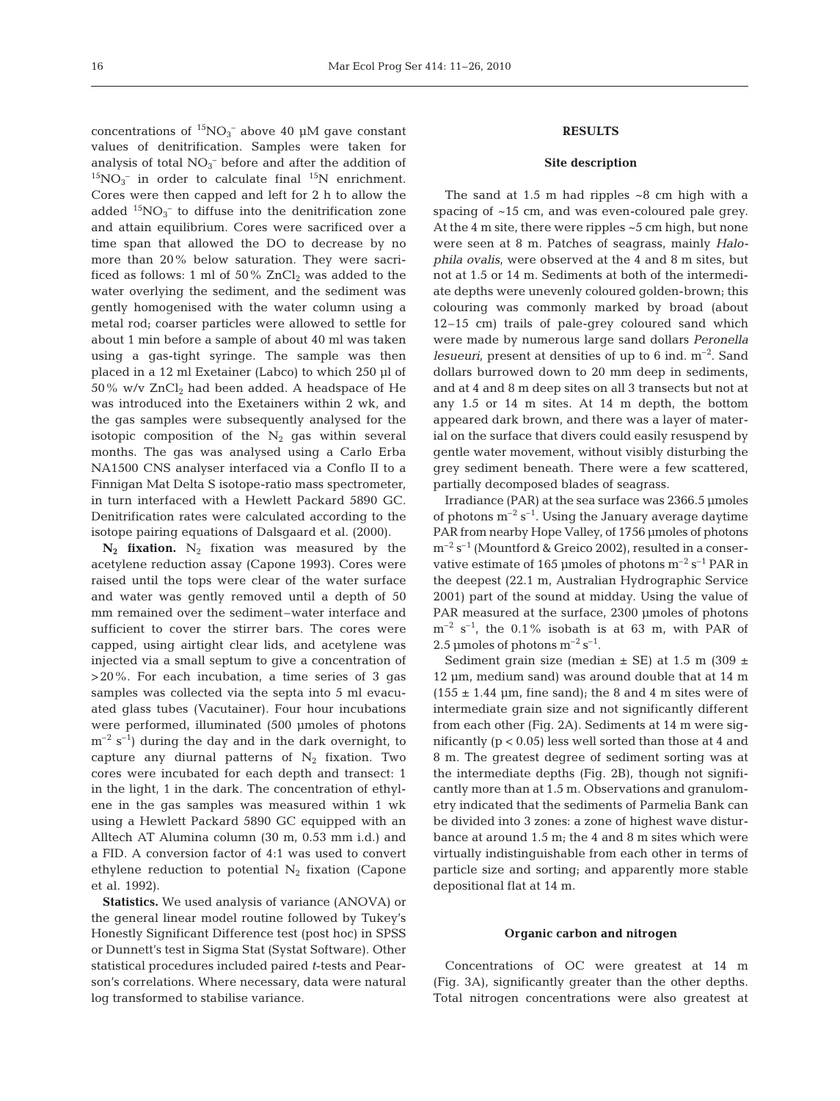concentrations of  ${}^{15}NO_3^-$  above 40 μM gave constant values of denitrification. Samples were taken for analysis of total  $NO<sub>3</sub><sup>-</sup>$  before and after the addition of  $^{15}NO_3^-$  in order to calculate final  $^{15}N$  enrichment. Cores were then capped and left for 2 h to allow the added  ${}^{15}NO_3^-$  to diffuse into the denitrification zone and attain equilibrium. Cores were sacrificed over a time span that allowed the DO to decrease by no more than 20% below saturation. They were sacrificed as follows: 1 ml of  $50\%$  ZnCl<sub>2</sub> was added to the water overlying the sediment, and the sediment was gently homogenised with the water column using a metal rod; coarser particles were allowed to settle for about 1 min before a sample of about 40 ml was taken using a gas-tight syringe. The sample was then placed in a 12 ml Exetainer (Labco) to which 250 μl of  $50\%$  w/v  $ZnCl<sub>2</sub>$  had been added. A headspace of He was introduced into the Exetainers within 2 wk, and the gas samples were subsequently analysed for the isotopic composition of the  $N_2$  gas within several months. The gas was analysed using a Carlo Erba NA1500 CNS analyser interfaced via a Conflo II to a Finnigan Mat Delta S isotope-ratio mass spectrometer, in turn interfaced with a Hewlett Packard 5890 GC. Denitrification rates were calculated according to the isotope pairing equations of Dalsgaard et al. (2000).

 $N_2$  **fixation.**  $N_2$  fixation was measured by the acetylene reduction assay (Capone 1993). Cores were raised until the tops were clear of the water surface and water was gently removed until a depth of 50 mm remained over the sediment–water interface and sufficient to cover the stirrer bars. The cores were capped, using airtight clear lids, and acetylene was injected via a small septum to give a concentration of >20%. For each incubation, a time series of 3 gas samples was collected via the septa into 5 ml evacuated glass tubes (Vacutainer). Four hour incubations were performed, illuminated (500 μmoles of photons  $m^{-2}$  s<sup>-1</sup>) during the day and in the dark overnight, to capture any diurnal patterns of  $N_2$  fixation. Two cores were incubated for each depth and transect: 1 in the light, 1 in the dark. The concentration of ethylene in the gas samples was measured within 1 wk using a Hewlett Packard 5890 GC equipped with an Alltech AT Alumina column (30 m, 0.53 mm i.d.) and a FID. A conversion factor of 4:1 was used to convert ethylene reduction to potential  $N_2$  fixation (Capone et al. 1992).

**Statistics.** We used analysis of variance (ANOVA) or the general linear model routine followed by Tukey's Honestly Significant Difference test (post hoc) in SPSS or Dunnett's test in Sigma Stat (Systat Software). Other statistical procedures included paired *t*-tests and Pearson's correlations. Where necessary, data were natural log transformed to stabilise variance.

# **RESULTS**

## **Site description**

The sand at  $1.5$  m had ripples  $\sim 8$  cm high with a spacing of ~15 cm, and was even-coloured pale grey. At the 4 m site, there were ripples ~5 cm high, but none were seen at 8 m. Patches of seagrass, mainly *Halophila ovalis*, were observed at the 4 and 8 m sites, but not at 1.5 or 14 m. Sediments at both of the intermediate depths were unevenly coloured golden-brown; this colouring was commonly marked by broad (about 12–15 cm) trails of pale-grey coloured sand which were made by numerous large sand dollars *Peronella lesueuri*, present at densities of up to 6 ind.  $m^{-2}$ . Sand dollars burrowed down to 20 mm deep in sediments, and at 4 and 8 m deep sites on all 3 transects but not at any 1.5 or 14 m sites. At 14 m depth, the bottom appeared dark brown, and there was a layer of material on the surface that divers could easily resuspend by gentle water movement, without visibly disturbing the grey sediment beneath. There were a few scattered, partially decomposed blades of seagrass.

Irradiance (PAR) at the sea surface was 2366.5 μmoles of photons  $m^{-2} s^{-1}$ . Using the January average daytime PAR from nearby Hope Valley, of 1756 μmoles of photons  $m^{-2}$  s<sup>-1</sup> (Mountford & Greico 2002), resulted in a conservative estimate of 165 µmoles of photons  $m^{-2}$  s<sup>-1</sup> PAR in the deepest (22.1 m, Australian Hydrographic Service 2001) part of the sound at midday. Using the value of PAR measured at the surface, 2300 μmoles of photons  $m^{-2}$  s<sup>-1</sup>, the 0.1% isobath is at 63 m, with PAR of 2.5 µmoles of photons  $m^{-2} s^{-1}$ .

Sediment grain size (median  $\pm$  SE) at 1.5 m (309  $\pm$ 12 μm, medium sand) was around double that at 14 m  $(155 \pm 1.44 \text{ }\mu\text{m}, \text{fine sand})$ ; the 8 and 4 m sites were of intermediate grain size and not significantly different from each other (Fig. 2A). Sediments at 14 m were significantly  $(p < 0.05)$  less well sorted than those at 4 and 8 m. The greatest degree of sediment sorting was at the intermediate depths (Fig. 2B), though not significantly more than at 1.5 m. Observations and granulometry indicated that the sediments of Parmelia Bank can be divided into 3 zones: a zone of highest wave disturbance at around 1.5 m; the 4 and 8 m sites which were virtually indistinguishable from each other in terms of particle size and sorting; and apparently more stable depositional flat at 14 m.

#### **Organic carbon and nitrogen**

Concentrations of OC were greatest at 14 m (Fig. 3A), significantly greater than the other depths. Total nitrogen concentrations were also greatest at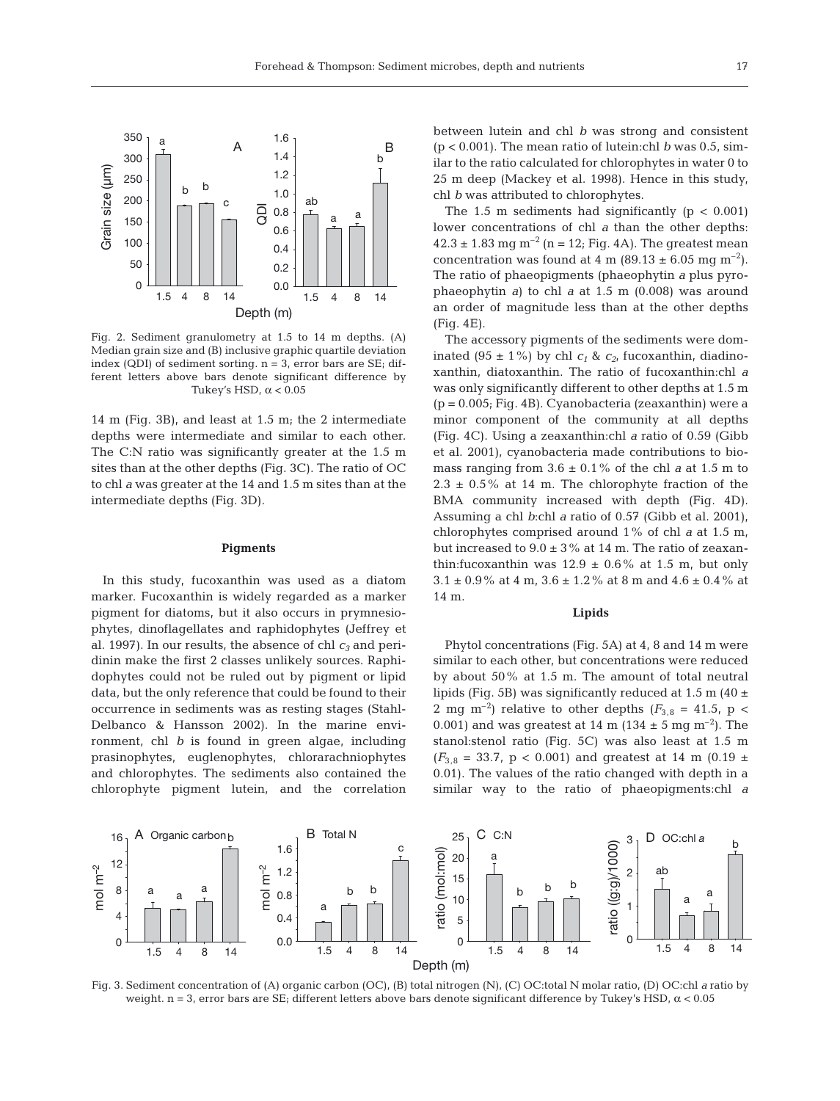

Fig. 2. Sediment granulometry at 1.5 to 14 m depths. (A) Median grain size and (B) inclusive graphic quartile deviation index (QDI) of sediment sorting. n = 3, error bars are SE; different letters above bars denote significant difference by Tukey's HSD,  $\alpha$  < 0.05

14 m (Fig. 3B), and least at 1.5 m; the 2 intermediate depths were intermediate and similar to each other. The C:N ratio was significantly greater at the 1.5 m sites than at the other depths (Fig. 3C). The ratio of OC to chl *a* was greater at the 14 and 1.5 m sites than at the intermediate depths (Fig. 3D).

## **Pigments**

In this study, fucoxanthin was used as a diatom marker. Fucoxanthin is widely regarded as a marker pigment for diatoms, but it also occurs in prymnesiophytes, dinoflagellates and raphidophytes (Jeffrey et al. 1997). In our results, the absence of chl  $c_3$  and peridinin make the first 2 classes unlikely sources. Raphidophytes could not be ruled out by pigment or lipid data, but the only reference that could be found to their occurrence in sediments was as resting stages (Stahl-Delbanco & Hansson 2002). In the marine environment, chl *b* is found in green algae, including prasinophytes, euglenophytes, chlorarachniophytes and chlorophytes. The sediments also contained the chlorophyte pigment lutein, and the correlation between lutein and chl *b* was strong and consistent (p < 0.001). The mean ratio of lutein:chl *b* was 0.5, similar to the ratio calculated for chlorophytes in water 0 to 25 m deep (Mackey et al. 1998). Hence in this study, chl *b* was attributed to chlorophytes.

The 1.5 m sediments had significantly ( $p < 0.001$ ) lower concentrations of chl *a* than the other depths:  $42.3 \pm 1.83$  mg m<sup>-2</sup> (n = 12; Fig. 4A). The greatest mean concentration was found at 4 m (89.13  $\pm$  6.05 mg m<sup>-2</sup>). The ratio of phaeopigments (phaeophytin *a* plus pyrophaeophytin *a*) to chl *a* at 1.5 m (0.008) was around an order of magnitude less than at the other depths (Fig. 4E).

The accessory pigments of the sediments were dominated (95  $\pm$  1%) by chl  $c_1$  &  $c_2$ , fucoxanthin, diadinoxanthin, diatoxanthin. The ratio of fucoxanthin:chl *a* was only significantly different to other depths at 1.5 m (p = 0.005; Fig. 4B). Cyanobacteria (zeaxanthin) were a minor component of the community at all depths (Fig. 4C). Using a zeaxanthin:chl *a* ratio of 0.59 (Gibb et al. 2001), cyanobacteria made contributions to biomass ranging from  $3.6 \pm 0.1\%$  of the chl *a* at 1.5 m to  $2.3 \pm 0.5\%$  at 14 m. The chlorophyte fraction of the BMA community increased with depth (Fig. 4D). Assuming a chl *b*:chl *a* ratio of 0.57 (Gibb et al. 2001), chlorophytes comprised around 1% of chl *a* at 1.5 m, but increased to  $9.0 \pm 3\%$  at 14 m. The ratio of zeaxanthin: fucoxanthin was  $12.9 \pm 0.6\%$  at 1.5 m, but only  $3.1\pm0.9\,\%$  at 4 m,  $3.6\pm1.2\,\%$  at 8 m and  $4.6\pm0.4\,\%$  at 14 m.

#### **Lipids**

Phytol concentrations (Fig. 5A) at 4, 8 and 14 m were similar to each other, but concentrations were reduced by about 50% at 1.5 m. The amount of total neutral lipids (Fig. 5B) was significantly reduced at 1.5 m (40  $\pm$ 2 mg m<sup>-2</sup>) relative to other depths ( $F_{3,8}$  = 41.5, p < 0.001) and was greatest at 14 m (134  $\pm$  5 mg m<sup>-2</sup>). The stanol:stenol ratio (Fig. 5C) was also least at 1.5 m  $(F_{3,8} = 33.7, p < 0.001)$  and greatest at 14 m (0.19 ± 0.01). The values of the ratio changed with depth in a similar way to the ratio of phaeopigments:chl *a*



Fig. 3. Sediment concentration of (A) organic carbon (OC), (B) total nitrogen (N), (C) OC:total N molar ratio, (D) OC:chl *a* ratio by weight. n = 3, error bars are SE; different letters above bars denote significant difference by Tukey's HSD,  $\alpha$  < 0.05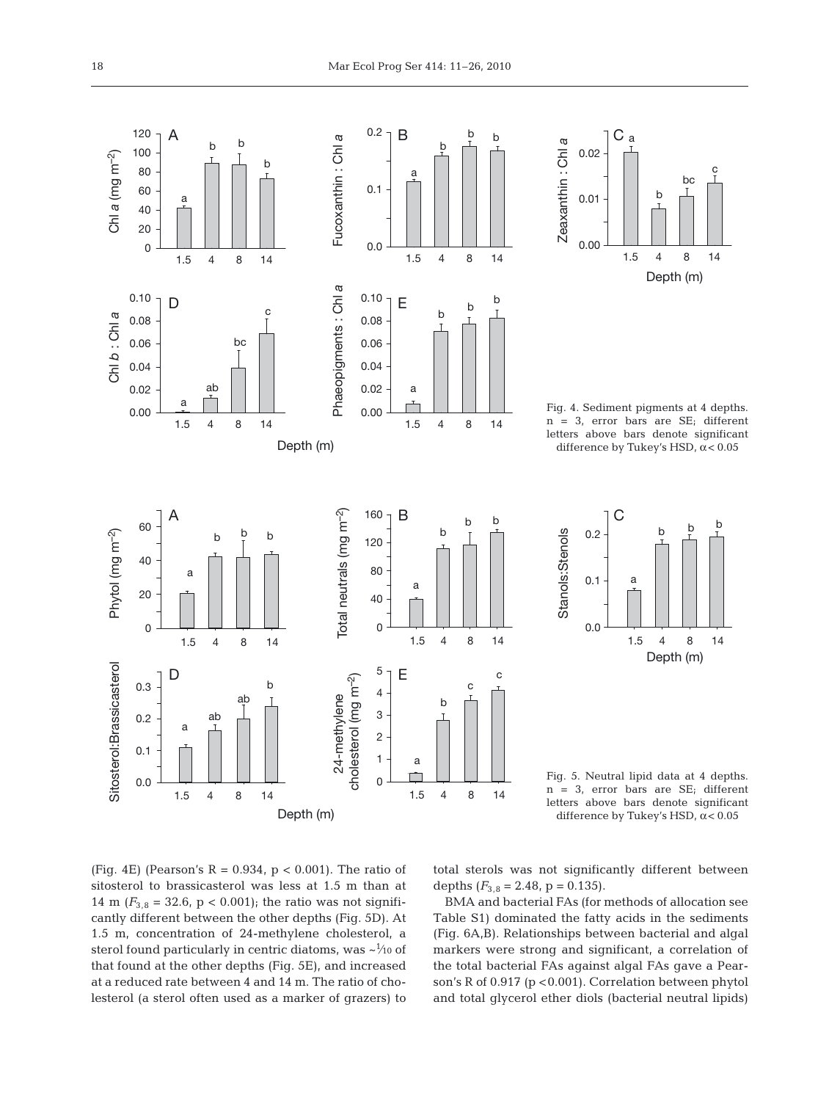



Fig. 4. Sediment pigments at 4 depths. n = 3, error bars are SE; different letters above bars denote significant difference by Tukey's HSD,  $\alpha$  < 0.05



Fig. 5. Neutral lipid data at 4 depths. n = 3, error bars are SE; different letters above bars denote significant difference by Tukey's HSD,  $\alpha$  < 0.05

(Fig. 4E) (Pearson's  $R = 0.934$ ,  $p < 0.001$ ). The ratio of sitosterol to brassicasterol was less at 1.5 m than at 14 m  $(F_{3,8} = 32.6, p < 0.001)$ ; the ratio was not significantly different between the other depths (Fig. 5D). At 1.5 m, concentration of 24-methylene cholesterol, a sterol found particularly in centric diatoms, was  $\sim^{\hspace{-0.1em}1\hspace{-0.1em}/\hspace{-0.1em}10}$  of that found at the other depths (Fig. 5E), and increased at a reduced rate between 4 and 14 m. The ratio of cholesterol (a sterol often used as a marker of grazers) to total sterols was not significantly different between depths  $(F_{3,8} = 2.48, p = 0.135)$ .

BMA and bacterial FAs (for methods of allocation see Table S1) dominated the fatty acids in the sediments (Fig. 6A,B). Relationships between bacterial and algal markers were strong and significant, a correlation of the total bacterial FAs against algal FAs gave a Pearson's R of 0.917 (p <0.001). Correlation between phytol and total glycerol ether diols (bacterial neutral lipids)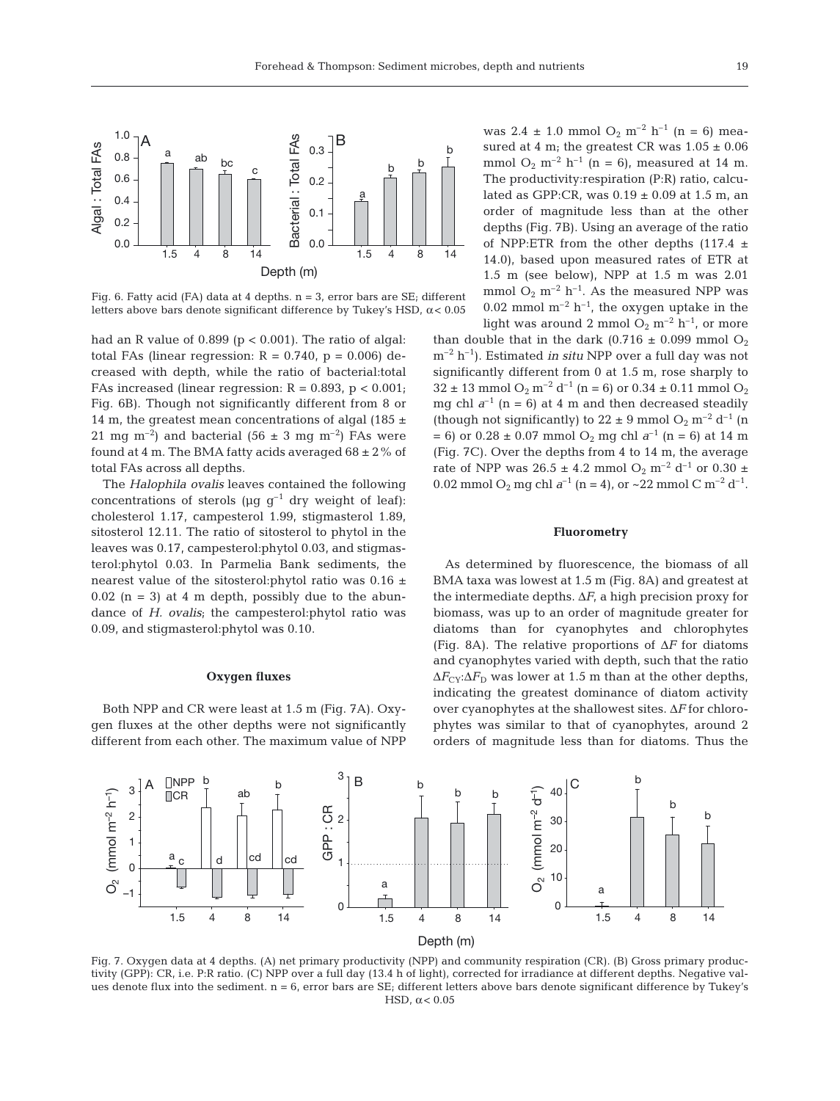

Fig. 6. Fatty acid (FA) data at 4 depths. n = 3, error bars are SE; different letters above bars denote significant difference by Tukey's HSD,  $\alpha$  < 0.05

had an R value of  $0.899$  (p <  $0.001$ ). The ratio of algal: total FAs (linear regression:  $R = 0.740$ ,  $p = 0.006$ ) decreased with depth, while the ratio of bacterial:total FAs increased (linear regression:  $R = 0.893$ ,  $p < 0.001$ ; Fig. 6B). Though not significantly different from 8 or 14 m, the greatest mean concentrations of algal (185  $\pm$ 21 mg m<sup>-2</sup>) and bacterial (56  $\pm$  3 mg m<sup>-2</sup>) FAs were found at 4 m. The BMA fatty acids averaged  $68 \pm 2\%$  of total FAs across all depths.

The *Halophila ovalis* leaves contained the following concentrations of sterols ( $\mu$ g g<sup>-1</sup> dry weight of leaf): cholesterol 1.17, campesterol 1.99, stigmasterol 1.89, sitosterol 12.11. The ratio of sitosterol to phytol in the leaves was 0.17, campesterol:phytol 0.03, and stigmasterol:phytol 0.03. In Parmelia Bank sediments, the nearest value of the sitosterol:phytol ratio was 0.16 ±  $0.02$  (n = 3) at 4 m depth, possibly due to the abundance of *H. ovalis*; the campesterol:phytol ratio was 0.09, and stigmasterol:phytol was 0.10.

# **Oxygen fluxes**

Both NPP and CR were least at 1.5 m (Fig. 7A). Oxygen fluxes at the other depths were not significantly different from each other. The maximum value of NPP was  $2.4 \pm 1.0$  mmol  $O_2$  m<sup>-2</sup> h<sup>-1</sup> (n = 6) measured at 4 m; the greatest CR was  $1.05 \pm 0.06$ mmol  $O_2$  m<sup>-2</sup> h<sup>-1</sup> (n = 6), measured at 14 m. The productivity:respiration (P:R) ratio, calculated as GPP:CR, was  $0.19 \pm 0.09$  at 1.5 m, an order of magnitude less than at the other depths (Fig. 7B). Using an average of the ratio of NPP:ETR from the other depths (117.4  $\pm$ 14.0), based upon measured rates of ETR at 1.5 m (see below), NPP at 1.5 m was 2.01 mmol  $O_2$  m<sup>-2</sup> h<sup>-1</sup>. As the measured NPP was 0.02 mmol  $m^{-2}$  h<sup>-1</sup>, the oxygen uptake in the light was around 2 mmol  $O_2$  m<sup>-2</sup> h<sup>-1</sup>, or more

than double that in the dark (0.716  $\pm$  0.099 mmol O<sub>2</sub> m–2 h–1). Estimated *in situ* NPP over a full day was not significantly different from 0 at 1.5 m, rose sharply to  $32 \pm 13$  mmol  $O_2$  m<sup>-2</sup> d<sup>-1</sup> (n = 6) or 0.34  $\pm$  0.11 mmol  $O_2$ mg chl  $a^{-1}$  (n = 6) at 4 m and then decreased steadily (though not significantly) to  $22 \pm 9$  mmol  $O_2$  m<sup>-2</sup> d<sup>-1</sup> (n  $= 6$ ) or 0.28  $\pm$  0.07 mmol O<sub>2</sub> mg chl  $a^{-1}$  (n = 6) at 14 m (Fig. 7C). Over the depths from 4 to 14 m, the average rate of NPP was  $26.5 \pm 4.2$  mmol  $O_2$  m<sup>-2</sup> d<sup>-1</sup> or 0.30  $\pm$ 0.02 mmol O<sub>2</sub> mg chl  $a^{-1}$  (n = 4), or ~22 mmol C m<sup>-2</sup> d<sup>-1</sup>.

# **Fluorometry**

As determined by fluorescence, the biomass of all BMA taxa was lowest at 1.5 m (Fig. 8A) and greatest at the intermediate depths.  $\Delta F$ , a high precision proxy for biomass, was up to an order of magnitude greater for diatoms than for cyanophytes and chlorophytes (Fig. 8A). The relative proportions of Δ*F* for diatoms and cyanophytes varied with depth, such that the ratio  $\Delta F_{CY}$ : $\Delta F_D$  was lower at 1.5 m than at the other depths, indicating the greatest dominance of diatom activity over cyanophytes at the shallowest sites. Δ*F* for chlorophytes was similar to that of cyanophytes, around 2 orders of magnitude less than for diatoms. Thus the



Fig. 7. Oxygen data at 4 depths. (A) net primary productivity (NPP) and community respiration (CR). (B) Gross primary productivity (GPP): CR, i.e. P:R ratio. (C) NPP over a full day (13.4 h of light), corrected for irradiance at different depths. Negative values denote flux into the sediment.  $n = 6$ , error bars are  $SE_i$  different letters above bars denote significant difference by Tukey's HSD,  $\alpha$  < 0.05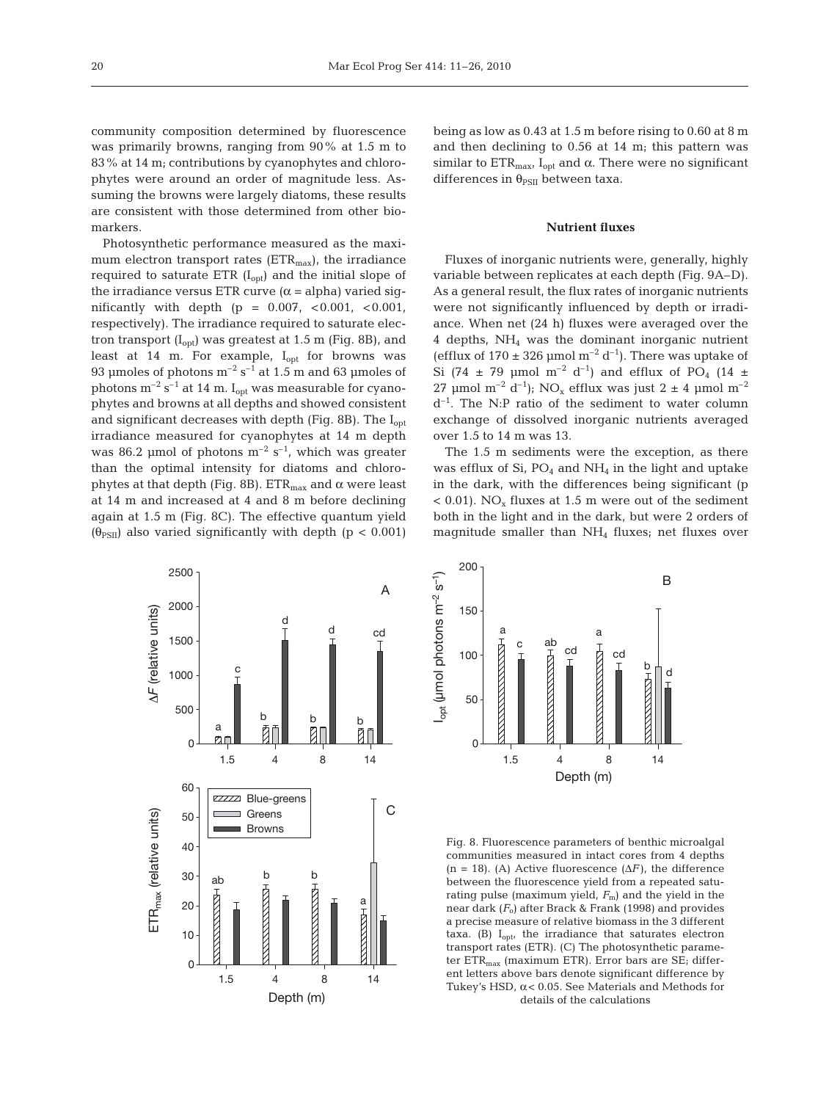community composition determined by fluorescence was primarily browns, ranging from 90% at 1.5 m to 83% at 14 m; contributions by cyanophytes and chlorophytes were around an order of magnitude less. Assuming the browns were largely diatoms, these results are consistent with those determined from other biomarkers.

Photosynthetic performance measured as the maximum electron transport rates ( $ETR<sub>max</sub>$ ), the irradiance required to saturate ETR  $(I_{opt})$  and the initial slope of the irradiance versus ETR curve  $(\alpha = \alpha)$  varied significantly with depth  $(p = 0.007, < 0.001, < 0.001,$ respectively). The irradiance required to saturate electron transport  $(I_{opt})$  was greatest at 1.5 m (Fig. 8B), and least at 14 m. For example,  $I_{opt}$  for browns was 93 µmoles of photons  $m^{-2}$  s<sup>-1</sup> at 1.5 m and 63 µmoles of photons  $m^{-2}$  s<sup>-1</sup> at 14 m. I<sub>opt</sub> was measurable for cyanophytes and browns at all depths and showed consistent and significant decreases with depth (Fig. 8B). The  $I_{\text{opt}}$ irradiance measured for cyanophytes at 14 m depth was 86.2 µmol of photons  $m^{-2}$  s<sup>-1</sup>, which was greater than the optimal intensity for diatoms and chlorophytes at that depth (Fig. 8B).  $ETR<sub>max</sub>$  and α were least at 14 m and increased at 4 and 8 m before declining again at 1.5 m (Fig. 8C). The effective quantum yield  $(\theta_{PSII})$  also varied significantly with depth (p < 0.001)



being as low as 0.43 at 1.5 m before rising to 0.60 at 8 m and then declining to 0.56 at 14 m; this pattern was similar to  $ETR<sub>max</sub>$ , I<sub>opt</sub> and  $\alpha$ . There were no significant differences in  $\theta_{PSII}$  between taxa.

#### **Nutrient fluxes**

Fluxes of inorganic nutrients were, generally, highly variable between replicates at each depth (Fig. 9A–D). As a general result, the flux rates of inorganic nutrients were not significantly influenced by depth or irradiance. When net (24 h) fluxes were averaged over the 4 depths,  $NH<sub>4</sub>$  was the dominant inorganic nutrient (efflux of  $170 \pm 326$  µmol m<sup>-2</sup> d<sup>-1</sup>). There was uptake of Si (74  $\pm$  79 µmol m<sup>-2</sup> d<sup>-1</sup>) and efflux of PO<sub>4</sub> (14  $\pm$ 27 μmol m<sup>-2</sup> d<sup>-1</sup>); NO<sub>x</sub> efflux was just 2  $\pm$  4 μmol m<sup>-2</sup>  $d^{-1}$ . The N:P ratio of the sediment to water column exchange of dissolved inorganic nutrients averaged over 1.5 to 14 m was 13.

The 1.5 m sediments were the exception, as there was efflux of Si,  $PO_4$  and  $NH_4$  in the light and uptake in the dark, with the differences being significant (p  $< 0.01$ ). NO<sub>x</sub> fluxes at 1.5 m were out of the sediment both in the light and in the dark, but were 2 orders of magnitude smaller than  $NH<sub>4</sub>$  fluxes; net fluxes over



Fig. 8. Fluorescence parameters of benthic microalgal communities measured in intact cores from 4 depths (n = 18). (A) Active fluorescence  $(\Delta F)$ , the difference between the fluorescence yield from a repeated saturating pulse (maximum yield,  $F<sub>m</sub>$ ) and the yield in the near dark  $(F_0)$  after Brack & Frank (1998) and provides a precise measure of relative biomass in the 3 different taxa. (B)  $I_{\text{out}}$ , the irradiance that saturates electron transport rates (ETR). (C) The photosynthetic parameter  $ETR<sub>max</sub>$  (maximum ETR). Error bars are SE; different letters above bars denote significant difference by Tukey's HSD,  $\alpha$  < 0.05. See Materials and Methods for details of the calculations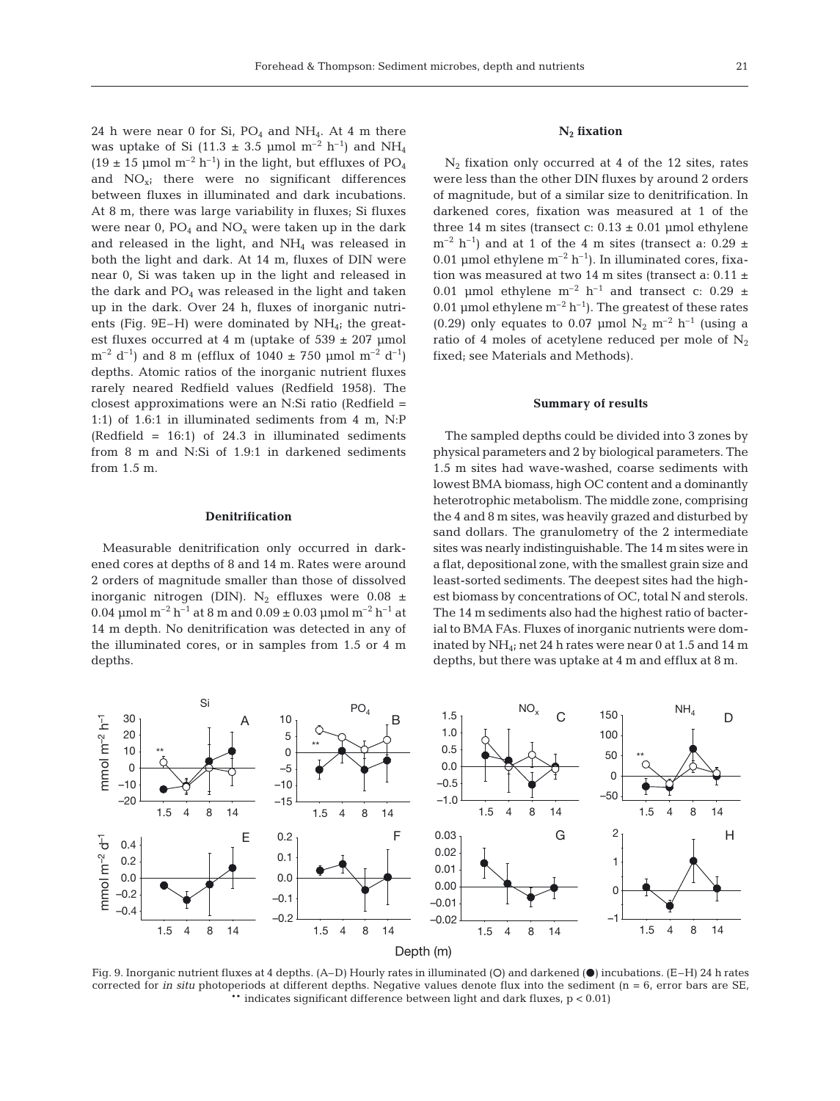24 h were near 0 for Si,  $PO_4$  and NH<sub>4</sub>. At 4 m there was uptake of Si (11.3  $\pm$  3.5 µmol m<sup>-2</sup> h<sup>-1</sup>) and NH<sub>4</sub>  $(19 \pm 15 \text{ }\mu\text{mol}\text{ m}^{-2} \text{ h}^{-1})$  in the light, but effluxes of PO<sub>4</sub> and  $NO<sub>x</sub>$ ; there were no significant differences between fluxes in illuminated and dark incubations. At 8 m, there was large variability in fluxes; Si fluxes were near  $0$ ,  $PO_4$  and  $NO_x$  were taken up in the dark and released in the light, and  $NH<sub>4</sub>$  was released in both the light and dark. At 14 m, fluxes of DIN were near 0, Si was taken up in the light and released in the dark and  $PO_4$  was released in the light and taken up in the dark. Over 24 h, fluxes of inorganic nutrients (Fig. 9E–H) were dominated by  $NH_{4}$ ; the greatest fluxes occurred at 4 m (uptake of  $539 \pm 207$  µmol  $\rm{m}^{-2}$  d<sup>-1</sup>) and 8 m (efflux of 1040  $\pm$  750 µmol m<sup>-2</sup> d<sup>-1</sup>) depths. Atomic ratios of the inorganic nutrient fluxes rarely neared Redfield values (Redfield 1958). The closest approximations were an N:Si ratio (Redfield = 1:1) of 1.6:1 in illuminated sediments from 4 m, N:P (Redfield = 16:1) of 24.3 in illuminated sediments from 8 m and N:Si of 1.9:1 in darkened sediments from 1.5 m.

## **Denitrification**

Measurable denitrification only occurred in darkened cores at depths of 8 and 14 m. Rates were around 2 orders of magnitude smaller than those of dissolved inorganic nitrogen (DIN). N<sub>2</sub> effluxes were  $0.08 \pm$ 0.04  $\mu$ mol m<sup>-2</sup> h<sup>-1</sup> at 8 m and 0.09  $\pm$  0.03  $\mu$ mol m<sup>-2</sup> h<sup>-1</sup> at 14 m depth. No denitrification was detected in any of the illuminated cores, or in samples from 1.5 or 4 m depths.

# **N2 fixation**

 $N_2$  fixation only occurred at 4 of the 12 sites, rates were less than the other DIN fluxes by around 2 orders of magnitude, but of a similar size to denitrification. In darkened cores, fixation was measured at 1 of the three 14 m sites (transect c:  $0.13 \pm 0.01$  µmol ethylene  $m^{-2}$  h<sup>-1</sup>) and at 1 of the 4 m sites (transect a: 0.29  $\pm$ 0.01 µmol ethylene  $m^{-2} h^{-1}$ ). In illuminated cores, fixation was measured at two 14 m sites (transect a:  $0.11 \pm$ 0.01 µmol ethylene  $m^{-2}$  h<sup>-1</sup> and transect c: 0.29 ± 0.01 µmol ethylene  $m^{-2} h^{-1}$ ). The greatest of these rates (0.29) only equates to 0.07 µmol  $N_2$  m<sup>-2</sup> h<sup>-1</sup> (using a ratio of 4 moles of acetylene reduced per mole of  $N_2$ fixed; see Materials and Methods).

#### **Summary of results**

The sampled depths could be divided into 3 zones by physical parameters and 2 by biological parameters. The 1.5 m sites had wave-washed, coarse sediments with lowest BMA biomass, high OC content and a dominantly heterotrophic metabolism. The middle zone, comprising the 4 and 8 m sites, was heavily grazed and disturbed by sand dollars. The granulometry of the 2 intermediate sites was nearly indistinguishable. The 14 m sites were in a flat, depositional zone, with the smallest grain size and least-sorted sediments. The deepest sites had the highest biomass by concentrations of OC, total N and sterols. The 14 m sediments also had the highest ratio of bacterial to BMA FAs. Fluxes of inorganic nutrients were dominated by NH<sub>4</sub>; net 24 h rates were near 0 at 1.5 and 14 m depths, but there was uptake at 4 m and efflux at 8 m.



Fig. 9. Inorganic nutrient fluxes at 4 depths. (A–D) Hourly rates in illuminated (O) and darkened (O) incubations. (E–H) 24 h rates corrected for *in situ* photoperiods at different depths. Negative values denote flux into the sediment (n = 6, error bars are SE, \*\* indicates significant difference between light and dark fluxes, p < 0.01)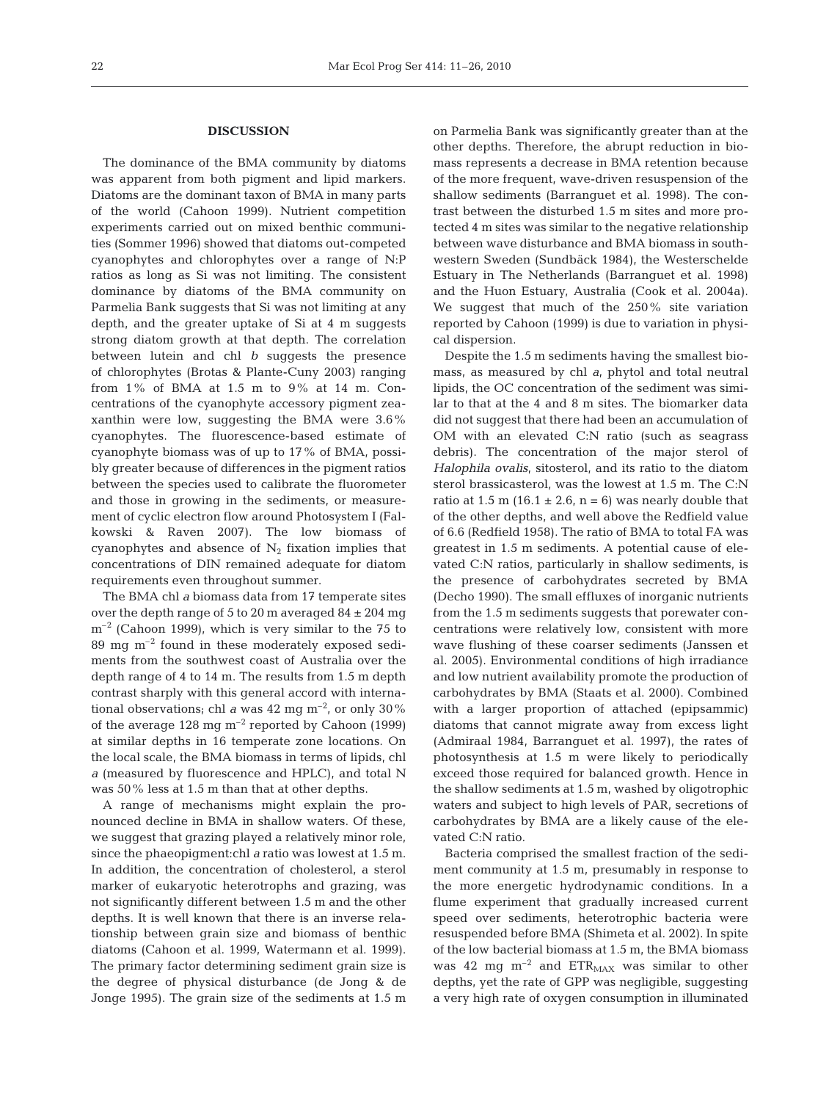## **DISCUSSION**

The dominance of the BMA community by diatoms was apparent from both pigment and lipid markers. Diatoms are the dominant taxon of BMA in many parts of the world (Cahoon 1999). Nutrient competition experiments carried out on mixed benthic communities (Sommer 1996) showed that diatoms out-competed cyanophytes and chlorophytes over a range of N:P ratios as long as Si was not limiting. The consistent dominance by diatoms of the BMA community on Parmelia Bank suggests that Si was not limiting at any depth, and the greater uptake of Si at 4 m suggests strong diatom growth at that depth. The correlation between lutein and chl *b* suggests the presence of chlorophytes (Brotas & Plante-Cuny 2003) ranging from 1% of BMA at 1.5 m to 9% at 14 m. Concentrations of the cyanophyte accessory pigment zeaxanthin were low, suggesting the BMA were 3.6% cyanophytes. The fluorescence-based estimate of cyanophyte biomass was of up to 17% of BMA, possibly greater because of differences in the pigment ratios between the species used to calibrate the fluorometer and those in growing in the sediments, or measurement of cyclic electron flow around Photosystem I (Falkowski & Raven 2007). The low biomass of cyanophytes and absence of  $N_2$  fixation implies that concentrations of DIN remained adequate for diatom requirements even throughout summer.

The BMA chl *a* biomass data from 17 temperate sites over the depth range of 5 to 20 m averaged  $84 \pm 204$  mg  $m^{-2}$  (Cahoon 1999), which is very similar to the 75 to 89 mg  $m^{-2}$  found in these moderately exposed sediments from the southwest coast of Australia over the depth range of 4 to 14 m. The results from 1.5 m depth contrast sharply with this general accord with international observations; chl *a* was 42 mg m<sup>-2</sup>, or only 30% of the average  $128 \text{ mg m}^{-2}$  reported by Cahoon (1999) at similar depths in 16 temperate zone locations. On the local scale, the BMA biomass in terms of lipids, chl *a* (measured by fluorescence and HPLC), and total N was 50% less at 1.5 m than that at other depths.

A range of mechanisms might explain the pronounced decline in BMA in shallow waters. Of these, we suggest that grazing played a relatively minor role, since the phaeopigment:chl *a* ratio was lowest at 1.5 m. In addition, the concentration of cholesterol, a sterol marker of eukaryotic heterotrophs and grazing, was not significantly different between 1.5 m and the other depths. It is well known that there is an inverse relationship between grain size and biomass of benthic diatoms (Cahoon et al. 1999, Watermann et al. 1999). The primary factor determining sediment grain size is the degree of physical disturbance (de Jong & de Jonge 1995). The grain size of the sediments at 1.5 m

on Parmelia Bank was significantly greater than at the other depths. Therefore, the abrupt reduction in biomass represents a decrease in BMA retention because of the more frequent, wave-driven resuspension of the shallow sediments (Barranguet et al. 1998). The contrast between the disturbed 1.5 m sites and more protected 4 m sites was similar to the negative relationship between wave disturbance and BMA biomass in southwestern Sweden (Sundbäck 1984), the Westerschelde Estuary in The Netherlands (Barranguet et al. 1998) and the Huon Estuary, Australia (Cook et al. 2004a). We suggest that much of the 250% site variation reported by Cahoon (1999) is due to variation in physical dispersion.

Despite the 1.5 m sediments having the smallest biomass, as measured by chl *a*, phytol and total neutral lipids, the OC concentration of the sediment was similar to that at the 4 and 8 m sites. The biomarker data did not suggest that there had been an accumulation of OM with an elevated C:N ratio (such as seagrass debris). The concentration of the major sterol of *Halophila ovalis*, sitosterol, and its ratio to the diatom sterol brassicasterol, was the lowest at 1.5 m. The C:N ratio at 1.5 m (16.1  $\pm$  2.6, n = 6) was nearly double that of the other depths, and well above the Redfield value of 6.6 (Redfield 1958). The ratio of BMA to total FA was greatest in 1.5 m sediments. A potential cause of elevated C:N ratios, particularly in shallow sediments, is the presence of carbohydrates secreted by BMA (Decho 1990). The small effluxes of inorganic nutrients from the 1.5 m sediments suggests that porewater concentrations were relatively low, consistent with more wave flushing of these coarser sediments (Janssen et al. 2005). Environmental conditions of high irradiance and low nutrient availability promote the production of carbohydrates by BMA (Staats et al. 2000). Combined with a larger proportion of attached (epipsammic) diatoms that cannot migrate away from excess light (Admiraal 1984, Barranguet et al. 1997), the rates of photosynthesis at 1.5 m were likely to periodically exceed those required for balanced growth. Hence in the shallow sediments at 1.5 m, washed by oligotrophic waters and subject to high levels of PAR, secretions of carbohydrates by BMA are a likely cause of the elevated C:N ratio.

Bacteria comprised the smallest fraction of the sediment community at 1.5 m, presumably in response to the more energetic hydrodynamic conditions. In a flume experiment that gradually increased current speed over sediments, heterotrophic bacteria were resuspended before BMA (Shimeta et al. 2002). In spite of the low bacterial biomass at 1.5 m, the BMA biomass was 42 mg  $m^{-2}$  and  $ETR_{MAX}$  was similar to other depths, yet the rate of GPP was negligible, suggesting a very high rate of oxygen consumption in illuminated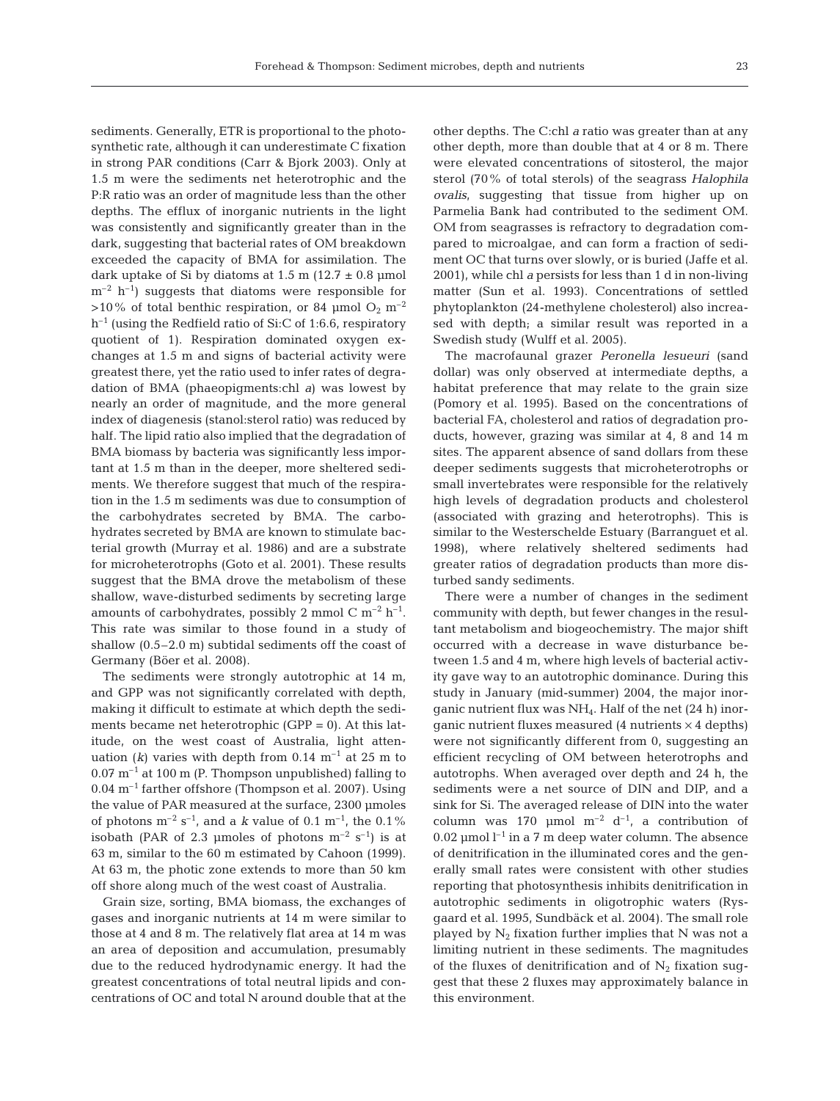sediments. Generally, ETR is proportional to the photosynthetic rate, although it can underestimate C fixation in strong PAR conditions (Carr & Bjork 2003). Only at 1.5 m were the sediments net heterotrophic and the P:R ratio was an order of magnitude less than the other depths. The efflux of inorganic nutrients in the light was consistently and significantly greater than in the dark, suggesting that bacterial rates of OM breakdown exceeded the capacity of BMA for assimilation. The dark uptake of Si by diatoms at  $1.5$  m  $(12.7 \pm 0.8 \text{ \mu mol})$  $m^{-2}$  h<sup>-1</sup>) suggests that diatoms were responsible for  $>10\%$  of total benthic respiration, or 84 µmol O<sub>2</sub> m<sup>-2</sup>  $h^{-1}$  (using the Redfield ratio of Si:C of 1:6.6, respiratory quotient of 1). Respiration dominated oxygen exchanges at 1.5 m and signs of bacterial activity were greatest there, yet the ratio used to infer rates of degradation of BMA (phaeopigments:chl *a*) was lowest by nearly an order of magnitude, and the more general index of diagenesis (stanol:sterol ratio) was reduced by half. The lipid ratio also implied that the degradation of BMA biomass by bacteria was significantly less important at 1.5 m than in the deeper, more sheltered sediments. We therefore suggest that much of the respiration in the 1.5 m sediments was due to consumption of the carbohydrates secreted by BMA. The carbohydrates secreted by BMA are known to stimulate bacterial growth (Murray et al. 1986) and are a substrate for microheterotrophs (Goto et al. 2001). These results suggest that the BMA drove the metabolism of these shallow, wave-disturbed sediments by secreting large amounts of carbohydrates, possibly 2 mmol C  $m^{-2}$  h<sup>-1</sup>. This rate was similar to those found in a study of shallow (0.5–2.0 m) subtidal sediments off the coast of Germany (Böer et al. 2008).

The sediments were strongly autotrophic at 14 m, and GPP was not significantly correlated with depth, making it difficult to estimate at which depth the sediments became net heterotrophic (GPP = 0). At this latitude, on the west coast of Australia, light attenuation ( $k$ ) varies with depth from 0.14  $\mathrm{m}^{-1}$  at 25 m to  $0.07 \text{ m}^{-1}$  at 100 m (P. Thompson unpublished) falling to  $0.04$  m<sup>-1</sup> farther offshore (Thompson et al. 2007). Using the value of PAR measured at the surface, 2300 μmoles of photons  $m^{-2}$  s<sup>-1</sup>, and a *k* value of 0.1  $m^{-1}$ , the 0.1% isobath (PAR of 2.3 µmoles of photons  $m^{-2}$  s<sup>-1</sup>) is at 63 m, similar to the 60 m estimated by Cahoon (1999). At 63 m, the photic zone extends to more than 50 km off shore along much of the west coast of Australia.

Grain size, sorting, BMA biomass, the exchanges of gases and inorganic nutrients at 14 m were similar to those at 4 and 8 m. The relatively flat area at 14 m was an area of deposition and accumulation, presumably due to the reduced hydrodynamic energy. It had the greatest concentrations of total neutral lipids and concentrations of OC and total N around double that at the other depths. The C:chl *a* ratio was greater than at any other depth, more than double that at 4 or 8 m. There were elevated concentrations of sitosterol, the major sterol (70% of total sterols) of the seagrass *Halophila ovalis*, suggesting that tissue from higher up on Parmelia Bank had contributed to the sediment OM. OM from seagrasses is refractory to degradation compared to microalgae, and can form a fraction of sediment OC that turns over slowly, or is buried (Jaffe et al. 2001), while chl *a* persists for less than 1 d in non-living matter (Sun et al. 1993). Concentrations of settled phytoplankton (24-methylene cholesterol) also increased with depth; a similar result was reported in a Swedish study (Wulff et al. 2005).

The macrofaunal grazer *Peronella lesueuri* (sand dollar) was only observed at intermediate depths, a habitat preference that may relate to the grain size (Pomory et al. 1995). Based on the concentrations of bacterial FA, cholesterol and ratios of degradation products, however, grazing was similar at 4, 8 and 14 m sites. The apparent absence of sand dollars from these deeper sediments suggests that microheterotrophs or small invertebrates were responsible for the relatively high levels of degradation products and cholesterol (associated with grazing and heterotrophs). This is similar to the Westerschelde Estuary (Barranguet et al. 1998), where relatively sheltered sediments had greater ratios of degradation products than more disturbed sandy sediments.

There were a number of changes in the sediment community with depth, but fewer changes in the resultant metabolism and biogeochemistry. The major shift occurred with a decrease in wave disturbance between 1.5 and 4 m, where high levels of bacterial activity gave way to an autotrophic dominance. During this study in January (mid-summer) 2004, the major inorganic nutrient flux was NH4. Half of the net (24 h) inorganic nutrient fluxes measured (4 nutrients  $\times$  4 depths) were not significantly different from 0, suggesting an efficient recycling of OM between heterotrophs and autotrophs. When averaged over depth and 24 h, the sediments were a net source of DIN and DIP, and a sink for Si. The averaged release of DIN into the water column was 170 μmol  $m^{-2}$  d<sup>-1</sup>, a contribution of  $0.02$  umol  $l^{-1}$  in a 7 m deep water column. The absence of denitrification in the illuminated cores and the generally small rates were consistent with other studies reporting that photosynthesis inhibits denitrification in autotrophic sediments in oligotrophic waters (Rysgaard et al. 1995, Sundbäck et al. 2004). The small role played by  $N_2$  fixation further implies that N was not a limiting nutrient in these sediments. The magnitudes of the fluxes of denitrification and of  $N_2$  fixation suggest that these 2 fluxes may approximately balance in this environment.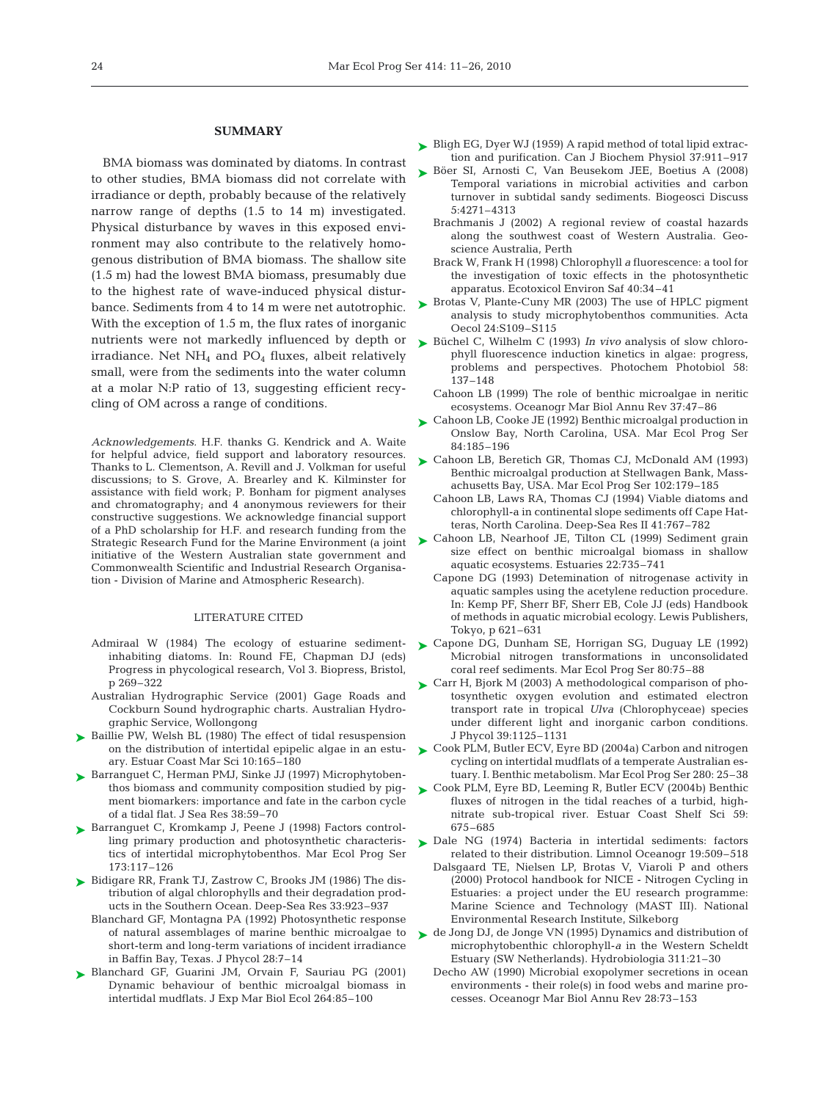## **SUMMARY**

BMA biomass was dominated by diatoms. In contrast to other studies, BMA biomass did not correlate with irradiance or depth, probably because of the relatively narrow range of depths (1.5 to 14 m) investigated. Physical disturbance by waves in this exposed environment may also contribute to the relatively homogenous distribution of BMA biomass. The shallow site (1.5 m) had the lowest BMA biomass, presumably due to the highest rate of wave-induced physical disturbance. Sediments from 4 to 14 m were net autotrophic. With the exception of 1.5 m, the flux rates of inorganic nutrients were not markedly influenced by depth or irradiance. Net  $NH_4$  and  $PO_4$  fluxes, albeit relatively small, were from the sediments into the water column at a molar N:P ratio of 13, suggesting efficient recycling of OM across a range of conditions.

*Acknowledgements.* H.F. thanks G. Kendrick and A. Waite for helpful advice, field support and laboratory resources. Thanks to L. Clementson, A. Revill and J. Volkman for useful discussions; to S. Grove, A. Brearley and K. Kilminster for assistance with field work; P. Bonham for pigment analyses and chromatography; and 4 anonymous reviewers for their constructive suggestions. We acknowledge financial support of a PhD scholarship for H.F. and research funding from the Strategic Research Fund for the Marine Environment (a joint initiative of the Western Australian state government and Commonwealth Scientific and Industrial Research Organisation - Division of Marine and Atmospheric Research).

#### LITERATURE CITED

- Admiraal W (1984) The ecology of estuarine sedimentinhabiting diatoms. In: Round FE, Chapman DJ (eds) Progress in phycological research, Vol 3. Biopress, Bristol, p 269–322
- Australian Hydrographic Service (2001) Gage Roads and Cockburn Sound hydrographic charts. Australian Hydrographic Service, Wollongong
- ▶ Baillie PW, Welsh BL (1980) The effect of tidal resuspension on the distribution of intertidal epipelic algae in an estuary. Estuar Coast Mar Sci 10:165–180
- ► Barranguet C, Herman PMJ, Sinke JJ (1997) Microphytobenthos biomass and community composition studied by pigment biomarkers: importance and fate in the carbon cycle of a tidal flat. J Sea Res 38:59–70
- ▶ Barranguet C, Kromkamp J, Peene J (1998) Factors controlling primary production and photosynthetic characteristics of intertidal microphytobenthos. Mar Ecol Prog Ser 173:117–126
- ► Bidigare RR, Frank TJ, Zastrow C, Brooks JM (1986) The distribution of algal chlorophylls and their degradation products in the Southern Ocean. Deep-Sea Res 33:923–937
	- Blanchard GF, Montagna PA (1992) Photosynthetic response of natural assemblages of marine benthic microalgae to short-term and long-term variations of incident irradiance in Baffin Bay, Texas. J Phycol 28:7–14
- ▶ Blanchard GF, Guarini JM, Orvain F, Sauriau PG (2001) Dynamic behaviour of benthic microalgal biomass in intertidal mudflats. J Exp Mar Biol Ecol 264:85–100
- ► Bligh EG, Dyer WJ (1959) A rapid method of total lipid extraction and purification. Can J Biochem Physiol 37:911–917
- ► Böer SI, Arnosti C, Van Beusekom JEE, Boetius A (2008) Temporal variations in microbial activities and carbon turnover in subtidal sandy sediments. Biogeosci Discuss 5:4271–4313
	- Brachmanis J (2002) A regional review of coastal hazards along the southwest coast of Western Australia. Geoscience Australia, Perth
	- Brack W, Frank H (1998) Chlorophyll *a* fluorescence: a tool for the investigation of toxic effects in the photosynthetic apparatus. Ecotoxicol Environ Saf 40:34–41
- ► Brotas V, Plante-Cuny MR (2003) The use of HPLC pigment analysis to study microphytobenthos communities. Acta Oecol 24:S109–S115
- ► Büchel C, Wilhelm C (1993) *In vivo* analysis of slow chlorophyll fluorescence induction kinetics in algae: progress, problems and perspectives. Photochem Photobiol 58: 137–148
	- Cahoon LB (1999) The role of benthic microalgae in neritic ecosystems. Oceanogr Mar Biol Annu Rev 37:47–86
- ► Cahoon LB, Cooke JE (1992) Benthic microalgal production in Onslow Bay, North Carolina, USA. Mar Ecol Prog Ser 84:185–196
- ► Cahoon LB, Beretich GR, Thomas CJ, McDonald AM (1993) Benthic microalgal production at Stellwagen Bank, Massachusetts Bay, USA. Mar Ecol Prog Ser 102:179–185
	- Cahoon LB, Laws RA, Thomas CJ (1994) Viable diatoms and chlorophyll-a in continental slope sediments off Cape Hatteras, North Carolina. Deep-Sea Res II 41:767–782
- ► Cahoon LB, Nearhoof JE, Tilton CL (1999) Sediment grain size effect on benthic microalgal biomass in shallow aquatic ecosystems. Estuaries 22:735–741
	- Capone DG (1993) Detemination of nitrogenase activity in aquatic samples using the acetylene reduction procedure. In: Kemp PF, Sherr BF, Sherr EB, Cole JJ (eds) Handbook of methods in aquatic microbial ecology. Lewis Publishers, Tokyo, p 621–631
- ► Capone DG, Dunham SE, Horrigan SG, Duguay LE (1992) Microbial nitrogen transformations in unconsolidated coral reef sediments. Mar Ecol Prog Ser 80:75–88
- ► Carr H, Bjork M (2003) A methodological comparison of photosynthetic oxygen evolution and estimated electron transport rate in tropical *Ulva* (Chlorophyceae) species under different light and inorganic carbon conditions. J Phycol 39:1125–1131
- ► Cook PLM, Butler ECV, Eyre BD (2004a) Carbon and nitrogen cycling on intertidal mudflats of a temperate Australian estuary. I. Benthic metabolism. Mar Ecol Prog Ser 280: 25–38
- ► Cook PLM, Eyre BD, Leeming R, Butler ECV (2004b) Benthic fluxes of nitrogen in the tidal reaches of a turbid, highnitrate sub-tropical river. Estuar Coast Shelf Sci 59: 675–685
- ▶ Dale NG (1974) Bacteria in intertidal sediments: factors related to their distribution. Limnol Oceanogr 19:509–518
	- Dalsgaard TE, Nielsen LP, Brotas V, Viaroli P and others (2000) Protocol handbook for NICE - Nitrogen Cycling in Estuaries: a project under the EU research programme: Marine Science and Technology (MAST III). National Environmental Research Institute, Silkeborg
- ► de Jong DJ, de Jonge VN (1995) Dynamics and distribution of microphytobenthic chlorophyll-*a* in the Western Scheldt Estuary (SW Netherlands). Hydrobiologia 311:21–30
	- Decho AW (1990) Microbial exopolymer secretions in ocean environments - their role(s) in food webs and marine processes. Oceanogr Mar Biol Annu Rev 28:73–153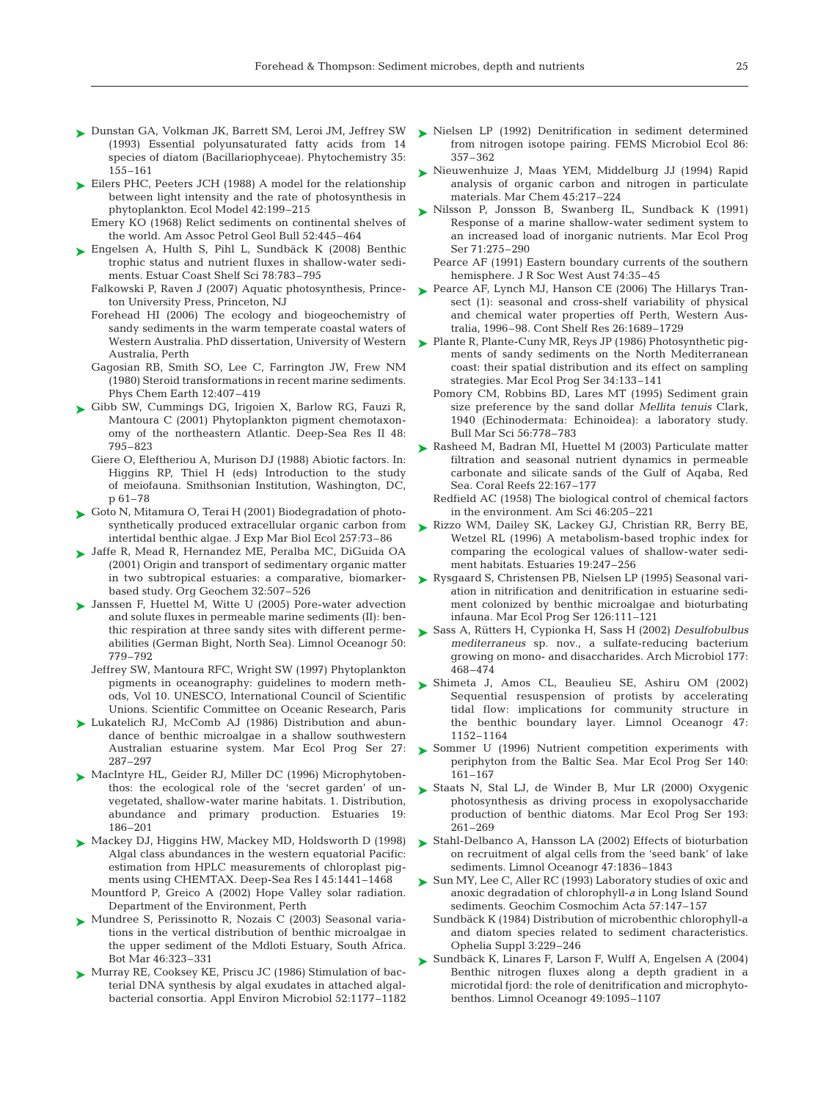- ► Dunstan GA, Volkman JK, Barrett SM, Leroi JM, Jeffrey SW (1993) Essential polyunsaturated fatty acids from 14 species of diatom (Bacillariophyceae). Phytochemistry 35: 155–161
- ► Eilers PHC, Peeters JCH (1988) A model for the relationship between light intensity and the rate of photosynthesis in phytoplankton. Ecol Model 42:199–215
	- Emery KO (1968) Relict sediments on continental shelves of the world. Am Assoc Petrol Geol Bull 52:445–464
- ► Engelsen A, Hulth S, Pihl L, Sundbäck K (2008) Benthic trophic status and nutrient fluxes in shallow-water sediments. Estuar Coast Shelf Sci 78:783–795
	- Falkowski P, Raven J (2007) Aquatic photosynthesis, Princeton University Press, Princeton, NJ
	- Forehead HI (2006) The ecology and biogeochemistry of sandy sediments in the warm temperate coastal waters of Western Australia. PhD dissertation, University of Western Australia, Perth
	- Gagosian RB, Smith SO, Lee C, Farrington JW, Frew NM (1980) Steroid transformations in recent marine sediments. Phys Chem Earth 12:407–419
- Gibb SW, Cummings DG, Irigoien X, Barlow RG, Fauzi R, ➤ Mantoura C (2001) Phytoplankton pigment chemotaxonomy of the northeastern Atlantic. Deep-Sea Res II 48: 795–823
	- Giere O, Eleftheriou A, Murison DJ (1988) Abiotic factors. In: Higgins RP, Thiel H (eds) Introduction to the study of meiofauna. Smithsonian Institution, Washington, DC, p 61–78
- ► Goto N, Mitamura O, Terai H (2001) Biodegradation of photosynthetically produced extracellular organic carbon from intertidal benthic algae. J Exp Mar Biol Ecol 257:73–86
- Jaffe R, Mead R, Hernandez ME, Peralba MC, DiGuida OA ➤ (2001) Origin and transport of sedimentary organic matter in two subtropical estuaries: a comparative, biomarkerbased study. Org Geochem 32:507–526
- ► Janssen F, Huettel M, Witte U (2005) Pore-water advection and solute fluxes in permeable marine sediments (II): benthic respiration at three sandy sites with different permeabilities (German Bight, North Sea). Limnol Oceanogr 50: 779–792
	- Jeffrey SW, Mantoura RFC, Wright SW (1997) Phytoplankton pigments in oceanography: guidelines to modern methods, Vol 10. UNESCO, International Council of Scientific Unions. Scientific Committee on Oceanic Research, Paris
- ▶ Lukatelich RJ, McComb AJ (1986) Distribution and abundance of benthic microalgae in a shallow southwestern Australian estuarine system. Mar Ecol Prog Ser 27: 287–297
- ► MacIntyre HL, Geider RJ, Miller DC (1996) Microphytobenthos: the ecological role of the 'secret garden' of unvegetated, shallow-water marine habitats. 1. Distribution, abundance and primary production. Estuaries 19: 186–201
- ► Mackey DJ, Higgins HW, Mackey MD, Holdsworth D (1998) Algal class abundances in the western equatorial Pacific: estimation from HPLC measurements of chloroplast pigments using CHEMTAX. Deep-Sea Res I 45:1441–1468
	- Mountford P, Greico A (2002) Hope Valley solar radiation. Department of the Environment, Perth
- ► Mundree S, Perissinotto R, Nozais C (2003) Seasonal variations in the vertical distribution of benthic microalgae in the upper sediment of the Mdloti Estuary, South Africa. Bot Mar 46:323–331
- ► Murray RE, Cooksey KE, Priscu JC (1986) Stimulation of bacterial DNA synthesis by algal exudates in attached algalbacterial consortia. Appl Environ Microbiol 52:1177–1182
- ► Nielsen LP (1992) Denitrification in sediment determined from nitrogen isotope pairing. FEMS Microbiol Ecol 86: 357–362
- ▶ Nieuwenhuize J, Maas YEM, Middelburg JJ (1994) Rapid analysis of organic carbon and nitrogen in particulate materials. Mar Chem 45:217–224
- ► Nilsson P, Jonsson B, Swanberg IL, Sundback K (1991) Response of a marine shallow-water sediment system to an increased load of inorganic nutrients. Mar Ecol Prog Ser 71:275–290
	- Pearce AF (1991) Eastern boundary currents of the southern hemisphere. J R Soc West Aust 74:35–45
- ► Pearce AF, Lynch MJ, Hanson CE (2006) The Hillarys Transect (1): seasonal and cross-shelf variability of physical and chemical water properties off Perth, Western Australia, 1996–98. Cont Shelf Res 26:1689–1729
- ► Plante R, Plante-Cuny MR, Reys JP (1986) Photosynthetic pigments of sandy sediments on the North Mediterranean coast: their spatial distribution and its effect on sampling strategies. Mar Ecol Prog Ser 34:133–141
	- Pomory CM, Robbins BD, Lares MT (1995) Sediment grain size preference by the sand dollar *Mellita tenuis* Clark, 1940 (Echinodermata: Echinoidea): a laboratory study. Bull Mar Sci 56:778–783
- ► Rasheed M, Badran MI, Huettel M (2003) Particulate matter filtration and seasonal nutrient dynamics in permeable carbonate and silicate sands of the Gulf of Aqaba, Red Sea. Coral Reefs 22:167–177
	- Redfield AC (1958) The biological control of chemical factors in the environment. Am Sci 46:205–221
- ► Rizzo WM, Dailey SK, Lackey GJ, Christian RR, Berry BE, Wetzel RL (1996) A metabolism-based trophic index for comparing the ecological values of shallow-water sediment habitats. Estuaries 19:247–256
- ► Rysgaard S, Christensen PB, Nielsen LP (1995) Seasonal variation in nitrification and denitrification in estuarine sediment colonized by benthic microalgae and bioturbating infauna. Mar Ecol Prog Ser 126:111–121
- Sass A, Rütters H, Cypionka H, Sass H (2002) *Desulfobulbus* ➤ *mediterraneus* sp. nov., a sulfate-reducing bacterium growing on mono- and disaccharides. Arch Microbiol 177: 468–474
- ▶ Shimeta J, Amos CL, Beaulieu SE, Ashiru OM (2002) Sequential resuspension of protists by accelerating tidal flow: implications for community structure in the benthic boundary layer. Limnol Oceanogr 47: 1152–1164
- ▶ Sommer U (1996) Nutrient competition experiments with periphyton from the Baltic Sea. Mar Ecol Prog Ser 140: 161–167
- ► Staats N, Stal LJ, de Winder B, Mur LR (2000) Oxygenic photosynthesis as driving process in exopolysaccharide production of benthic diatoms. Mar Ecol Prog Ser 193: 261–269
- ► Stahl-Delbanco A, Hansson LA (2002) Effects of bioturbation on recruitment of algal cells from the 'seed bank' of lake sediments. Limnol Oceanogr 47:1836–1843
- ► Sun MY, Lee C, Aller RC (1993) Laboratory studies of oxic and anoxic degradation of chlorophyll-*a* in Long Island Sound sediments. Geochim Cosmochim Acta 57:147–157
	- Sundbäck K (1984) Distribution of microbenthic chlorophyll-a and diatom species related to sediment characteristics. Ophelia Suppl 3:229–246
- ► Sundbäck K, Linares F, Larson F, Wulff A, Engelsen A (2004) Benthic nitrogen fluxes along a depth gradient in a microtidal fjord: the role of denitrification and microphytobenthos. Limnol Oceanogr 49:1095–1107